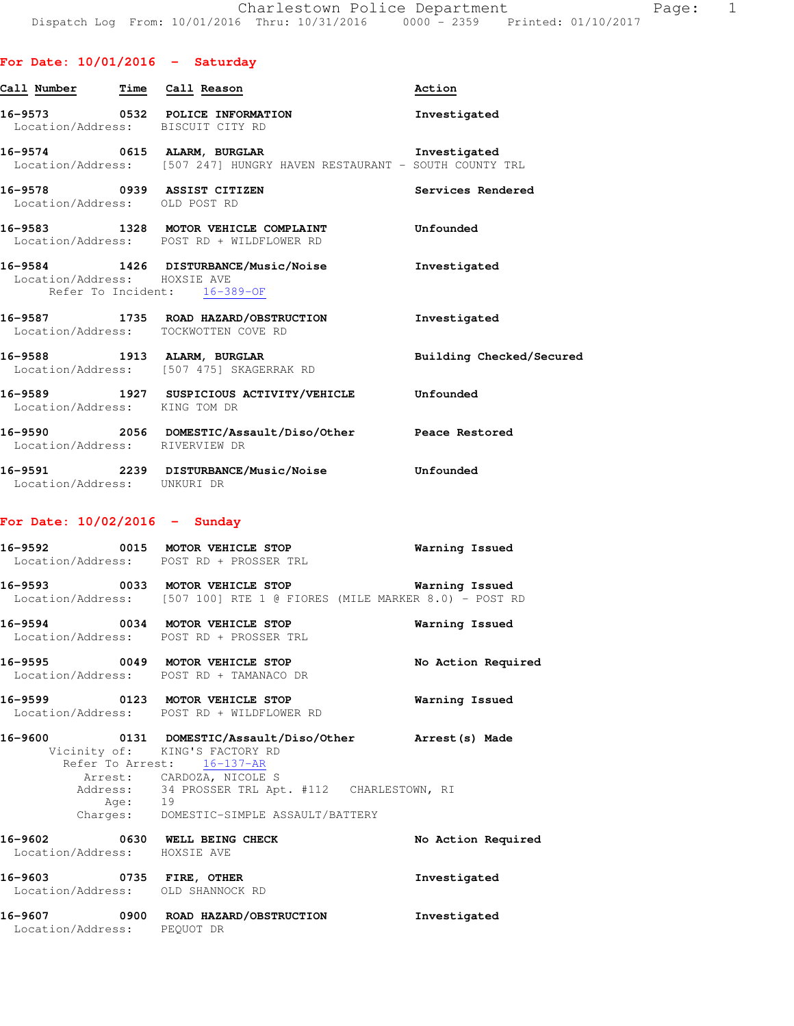### **For Date: 10/01/2016 - Saturday**

| Call Numbe <u>r</u>                                          | Time Call Reason                                                                                                          | Action                   |
|--------------------------------------------------------------|---------------------------------------------------------------------------------------------------------------------------|--------------------------|
| Location/Address: BISCUIT CITY RD                            | 16-9573 0532 POLICE INFORMATION                                                                                           | Investigated             |
|                                                              | 16-9574 0615 ALARM, BURGLAR CHARM SINVESTIGATEd<br>Location/Address: [507 247] HUNGRY HAVEN RESTAURANT - SOUTH COUNTY TRL |                          |
| 16-9578 0939 ASSIST CITIZEN<br>Location/Address: OLD POST RD |                                                                                                                           | Services Rendered        |
|                                                              | 16-9583 1328 MOTOR VEHICLE COMPLAINT Unfounded<br>Location/Address: POST RD + WILDFLOWER RD                               |                          |
| Location/Address: HOXSIE AVE                                 | 16-9584 1426 DISTURBANCE/Music/Noise<br>Refer To Incident: 16-389-OF                                                      | Investigated             |
|                                                              | 16-9587 1735 ROAD HAZARD/OBSTRUCTION Investigated<br>Location/Address: TOCKWOTTEN COVE RD                                 |                          |
|                                                              | 16-9588 1913 ALARM, BURGLAR<br>Location/Address: [507 475] SKAGERRAK RD                                                   | Building Checked/Secured |
| Location/Address: KING TOM DR                                | 16-9589 1927 SUSPICIOUS ACTIVITY/VEHICLE Unfounded                                                                        |                          |
| Location/Address: RIVERVIEW DR                               | 16-9590 2056 DOMESTIC/Assault/Diso/Other Peace Restored                                                                   |                          |
| Location/Address: UNKURI DR                                  | 16-9591 2239 DISTURBANCE/Music/Noise Unfounded                                                                            |                          |
| For Date: $10/02/2016$ - Sunday                              |                                                                                                                           |                          |
| 16-9592                                                      | 0015 MOTOR VEHICLE STOP                                                                                                   | Warning Issued           |

 Location/Address: POST RD + PROSSER TRL **16-9593 0033 MOTOR VEHICLE STOP Warning Issued**  Location/Address: [507 100] RTE 1 @ FIORES (MILE MARKER 8.0) - POST RD **16-9594 0034 MOTOR VEHICLE STOP Warning Issued**  Location/Address: POST RD + PROSSER TRL **16-9595 0049 MOTOR VEHICLE STOP No Action Required**  Location/Address: POST RD + TAMANACO DR **16-9599 0123 MOTOR VEHICLE STOP Warning Issued**  Location/Address: POST RD + WILDFLOWER RD **16-9600 0131 DOMESTIC/Assault/Diso/Other Arrest(s) Made**  Vicinity of: KING'S FACTORY RD Refer To Arrest: 16-137-AR Arrest: CARDOZA, NICOLE S Address: 34 PROSSER TRL Apt. #112 CHARLESTOWN, RI Age: 19 Charges: DOMESTIC-SIMPLE ASSAULT/BATTERY **16-9602 0630 WELL BEING CHECK No Action Required**  Location/Address: HOXSIE AVE **16-9603 0735 FIRE, OTHER Investigated**  Location/Address: OLD SHANNOCK RD **16-9607 0900 ROAD HAZARD/OBSTRUCTION Investigated** 

Location/Address: PEQUOT DR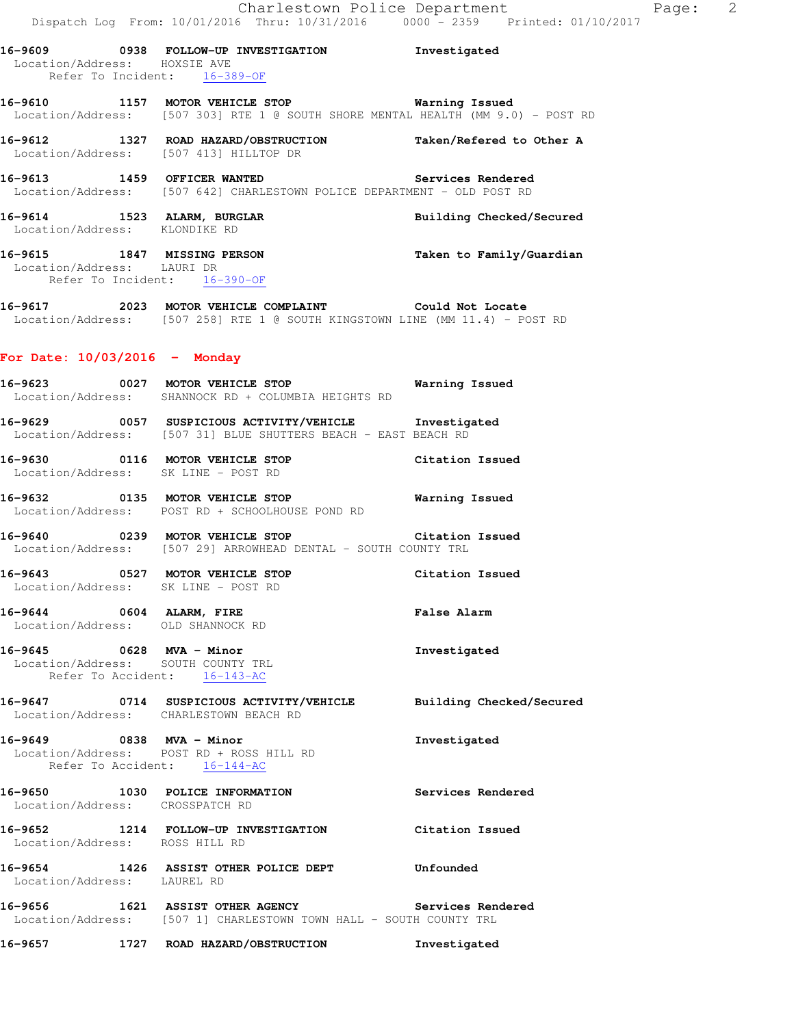| Location/Address: HOXSIE AVE    | 16-9609 0938 FOLLOW-UP INVESTIGATION Thvestigated                                                                                                 |                          |
|---------------------------------|---------------------------------------------------------------------------------------------------------------------------------------------------|--------------------------|
|                                 | Refer To Incident: 16-389-OF                                                                                                                      |                          |
|                                 | 16-9610 1157 MOTOR VEHICLE STOP <b>16-9610 Warning Issued</b><br>Location/Address: [507 303] RTE 1 @ SOUTH SHORE MENTAL HEALTH (MM 9.0) - POST RD |                          |
|                                 | 16-9612 1327 ROAD HAZARD/OBSTRUCTION Taken/Refered to Other A<br>Location/Address: [507 413] HILLTOP DR                                           |                          |
|                                 | 16-9613 1459 OFFICER WANTED<br>Location/Address: [507 642] CHARLESTOWN POLICE DEPARTMENT - OLD POST RD                                            |                          |
|                                 | 16-9614 1523 ALARM, BURGLAR<br>Location/Address: KLONDIKE RD                                                                                      | Building Checked/Secured |
| Location/Address: LAURI DR      | 16-9615 1847 MISSING PERSON Taken to Family/Guardian<br>Refer To Incident: 16-390-OF                                                              |                          |
|                                 | 16-9617 2023 MOTOR VEHICLE COMPLAINT Could Not Locate<br>Location/Address: [507 258] RTE 1 @ SOUTH KINGSTOWN LINE (MM 11.4) - POST RD             |                          |
| For Date: $10/03/2016$ - Monday |                                                                                                                                                   |                          |
|                                 | 16-9623 0027 MOTOR VEHICLE STOP 6 Warning Issued<br>Location/Address: SHANNOCK RD + COLUMBIA HEIGHTS RD                                           |                          |
|                                 | 16-9629 0057 SUSPICIOUS ACTIVITY/VEHICLE Thvestigated<br>Location/Address: [507 31] BLUE SHUTTERS BEACH - EAST BEACH RD                           |                          |
|                                 | 16-9630 0116 MOTOR VEHICLE STOP Citation Issued<br>Location/Address: SK LINE - POST RD                                                            |                          |
|                                 | 16-9632 0135 MOTOR VEHICLE STOP<br>Location/Address: POST RD + SCHOOLHOUSE POND RD                                                                | <b>Warning Issued</b>    |
|                                 | 16-9640 0239 MOTOR VEHICLE STOP<br>Location/Address: [507 29] ARROWHEAD DENTAL - SOUTH COUNTY TRL                                                 | Citation Issued          |
|                                 | 16-9643 0527 MOTOR VEHICLE STOP Citation Issued<br>Location/Address: SK LINE - POST RD                                                            |                          |
| 16-9644 0604 ALARM, FIRE        | Location/Address: OLD SHANNOCK RD                                                                                                                 | <b>False Alarm</b>       |
| 16-9645 0628 MVA - Minor        | Location/Address: SOUTH COUNTY TRL<br>Refer To Accident: 16-143-AC                                                                                | Investigated             |
|                                 | 16-9647 0714 SUSPICIOUS ACTIVITY/VEHICLE Building Checked/Secured<br>Location/Address: CHARLESTOWN BEACH RD                                       |                          |
|                                 | 16-9649 0838 MVA - Minor<br>Location/Address: POST RD + ROSS HILL RD<br>Refer To Accident: 16-144-AC                                              | Investigated             |
| Location/Address: CROSSPATCH RD | 16-9650 1030 POLICE INFORMATION                                                                                                                   | Services Rendered        |
| Location/Address: ROSS HILL RD  | 16-9652 1214 FOLLOW-UP INVESTIGATION                                                                                                              | Citation Issued          |
| Location/Address: LAUREL RD     | 16-9654 1426 ASSIST OTHER POLICE DEPT                                                                                                             | Unfounded                |
|                                 | 16-9656 1621 ASSIST OTHER AGENCY Services Rendered<br>Location/Address: [507 1] CHARLESTOWN TOWN HALL - SOUTH COUNTY TRL                          |                          |
|                                 | 16-9657 1727 ROAD HAZARD/OBSTRUCTION                                                                                                              | Investigated             |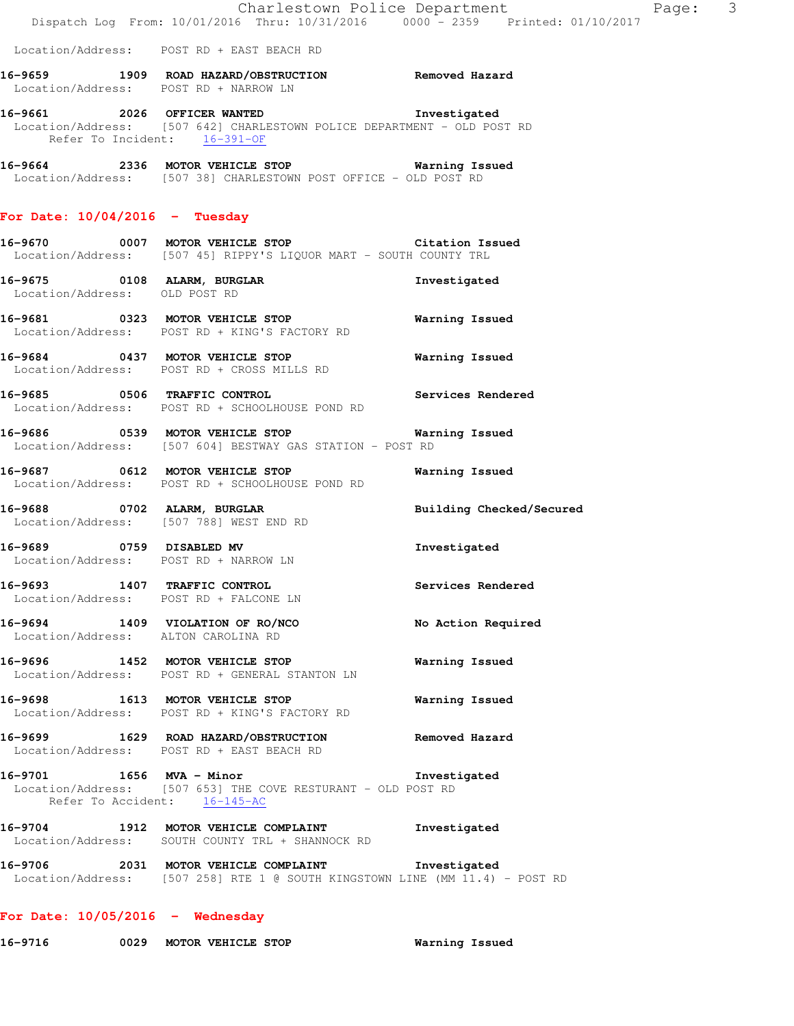Location/Address: POST RD + EAST BEACH RD

| 16-9659           | 1909 |  |                     | ROAD HAZARD/OBSTRUCTION | Removed Hazard |  |
|-------------------|------|--|---------------------|-------------------------|----------------|--|
| Location/Address: |      |  | POST RD + NARROW IN |                         |                |  |

**16-9661 2026 OFFICER WANTED Investigated**  Location/Address: [507 642] CHARLESTOWN POLICE DEPARTMENT - OLD POST RD Refer To Incident: 16-391-OF

**16-9664 2336 MOTOR VEHICLE STOP Warning Issued**  Location/Address: [507 38] CHARLESTOWN POST OFFICE - OLD POST RD

# **For Date: 10/04/2016 - Tuesday**

| 16-9670           | 0007 |  | MOTOR VEHICLE STOP |                                                 |  |  | Citation Issued |
|-------------------|------|--|--------------------|-------------------------------------------------|--|--|-----------------|
| Location/Address: |      |  |                    | [507 45] RIPPY'S LIOUOR MART - SOUTH COUNTY TRL |  |  |                 |

- **16-9675 0108 ALARM, BURGLAR Investigated**  Location/Address: OLD POST RD
- **16-9681 0323 MOTOR VEHICLE STOP Warning Issued**  Location/Address: POST RD + KING'S FACTORY RD
- **16-9684 0437 MOTOR VEHICLE STOP Warning Issued**  Location/Address: POST RD + CROSS MILLS RD
- **16-9685 0506 TRAFFIC CONTROL Services Rendered**  Location/Address: POST RD + SCHOOLHOUSE POND RD
- **16-9686 0539 MOTOR VEHICLE STOP Warning Issued**  Location/Address: [507 604] BESTWAY GAS STATION - POST RD
- **16-9687 0612 MOTOR VEHICLE STOP Warning Issued**  Location/Address: POST RD + SCHOOLHOUSE POND RD
- **16-9688 0702 ALARM, BURGLAR Building Checked/Secured**  Location/Address: [507 788] WEST END RD
- **16-9689 0759 DISABLED MV Investigated**  Location/Address: POST RD + NARROW LN
- **16-9693 1407 TRAFFIC CONTROL Services Rendered**  Location/Address: POST RD + FALCONE LN
- **16-9694 1409 VIOLATION OF RO/NCO No Action Required**  Location/Address: ALTON CAROLINA RD
- **16-9696 1452 MOTOR VEHICLE STOP Warning Issued**  Location/Address: POST RD + GENERAL STANTON LN
- **16-9698 1613 MOTOR VEHICLE STOP Warning Issued**  Location/Address: POST RD + KING'S FACTORY RD
- **16-9699 1629 ROAD HAZARD/OBSTRUCTION Removed Hazard**  Location/Address: POST RD + EAST BEACH RD
- **16-9701 1656 MVA Minor Investigated**  Location/Address: [507 653] THE COVE RESTURANT - OLD POST RD Refer To Accident: 16-145-AC
- **16-9704 1912 MOTOR VEHICLE COMPLAINT Investigated**  Location/Address: SOUTH COUNTY TRL + SHANNOCK RD
- **16-9706 2031 MOTOR VEHICLE COMPLAINT Investigated**  Location/Address: [507 258] RTE 1 @ SOUTH KINGSTOWN LINE (MM 11.4) - POST RD

# **For Date: 10/05/2016 - Wednesday**

**16-9716 0029 MOTOR VEHICLE STOP Warning Issued**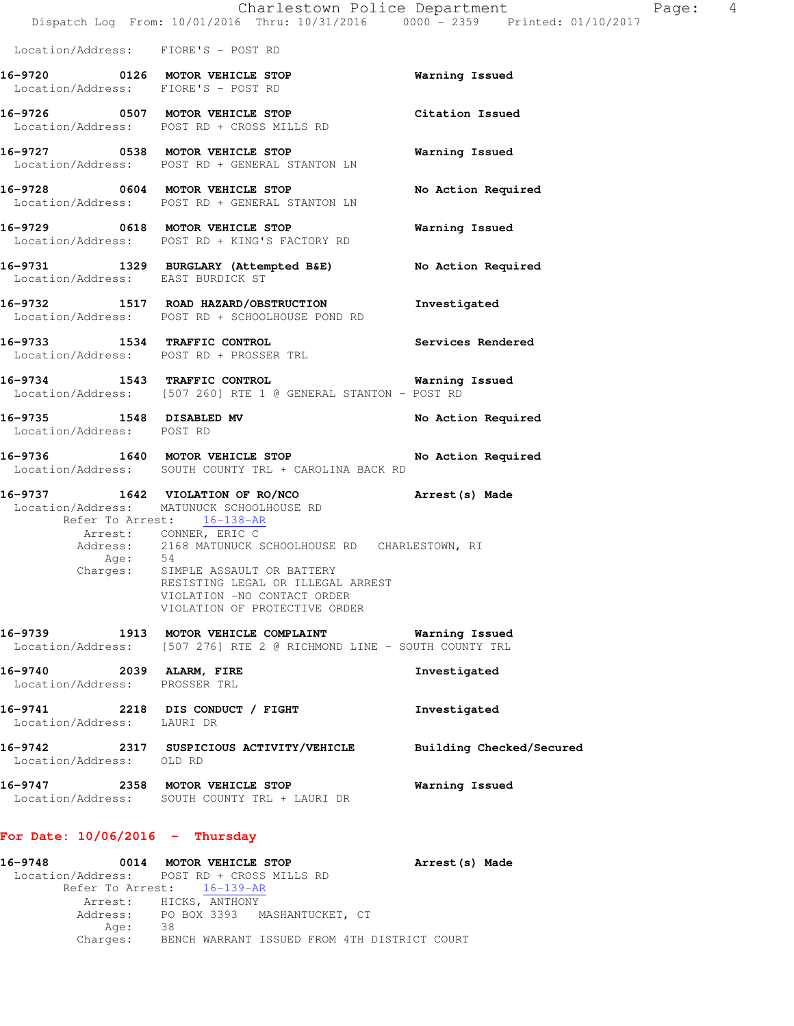|                                                           | Dispatch Log From: 10/01/2016 Thru: 10/31/2016 0000 - 2359 Printed: 01/10/2017                                                                                                                                                                                                                                                                                    | Charlestown Police Department<br>Page: 4 |  |
|-----------------------------------------------------------|-------------------------------------------------------------------------------------------------------------------------------------------------------------------------------------------------------------------------------------------------------------------------------------------------------------------------------------------------------------------|------------------------------------------|--|
| Location/Address: FIORE'S - POST RD                       |                                                                                                                                                                                                                                                                                                                                                                   |                                          |  |
| Location/Address: FIORE'S - POST RD                       | 16-9720 0126 MOTOR VEHICLE STOP                                                                                                                                                                                                                                                                                                                                   | Warning Issued                           |  |
|                                                           | 16-9726 0507 MOTOR VEHICLE STOP<br>Location/Address: POST RD + CROSS MILLS RD                                                                                                                                                                                                                                                                                     | Citation Issued                          |  |
|                                                           | 16-9727 0538 MOTOR VEHICLE STOP<br>Location/Address: POST RD + GENERAL STANTON LN                                                                                                                                                                                                                                                                                 | Warning Issued                           |  |
|                                                           | 16-9728 0604 MOTOR VEHICLE STOP<br>Location/Address: POST RD + GENERAL STANTON LN                                                                                                                                                                                                                                                                                 | No Action Required                       |  |
|                                                           | 16-9729 0618 MOTOR VEHICLE STOP<br>Location/Address: POST RD + KING'S FACTORY RD                                                                                                                                                                                                                                                                                  | Warning Issued                           |  |
| Location/Address: EAST BURDICK ST                         | 16-9731 1329 BURGLARY (Attempted B&E) No Action Required                                                                                                                                                                                                                                                                                                          |                                          |  |
|                                                           | 16-9732 1517 ROAD HAZARD/OBSTRUCTION Investigated<br>Location/Address: POST RD + SCHOOLHOUSE POND RD                                                                                                                                                                                                                                                              |                                          |  |
|                                                           | 16-9733 1534 TRAFFIC CONTROL 2000 Services Rendered<br>Location/Address: POST RD + PROSSER TRL                                                                                                                                                                                                                                                                    |                                          |  |
|                                                           | 16-9734 1543 TRAFFIC CONTROL 16-9734 Warning Issued<br>Location/Address: [507 260] RTE 1 @ GENERAL STANTON - POST RD                                                                                                                                                                                                                                              |                                          |  |
| 16-9735 1548 DISABLED MV<br>Location/Address: POST RD     |                                                                                                                                                                                                                                                                                                                                                                   | No Action Required                       |  |
|                                                           | 16-9736 1640 MOTOR VEHICLE STOP<br>Location/Address: SOUTH COUNTY TRL + CAROLINA BACK RD                                                                                                                                                                                                                                                                          | No Action Required                       |  |
|                                                           | 16-9737 1642 VIOLATION OF RO/NCO Arrest (s) Made<br>Location/Address: MATUNUCK SCHOOLHOUSE RD<br>Refer To Arrest: 16-138-AR<br>Arrest: CONNER, ERIC C<br>Address: 2168 MATUNUCK SCHOOLHOUSE RD CHARLESTOWN, RI Age: 54<br>Charges: SIMPLE ASSAULT OR BATTERY<br>RESISTING LEGAL OR ILLEGAL ARREST<br>VIOLATION -NO CONTACT ORDER<br>VIOLATION OF PROTECTIVE ORDER |                                          |  |
| 16-9739                                                   | 1913 MOTOR VEHICLE COMPLAINT <b>Warning Issued</b><br>Location/Address: [507 276] RTE 2 @ RICHMOND LINE - SOUTH COUNTY TRL                                                                                                                                                                                                                                        |                                          |  |
| 16-9740 2039 ALARM, FIRE<br>Location/Address: PROSSER TRL |                                                                                                                                                                                                                                                                                                                                                                   | Investigated                             |  |
| Location/Address: LAURI DR                                | 16-9741 2218 DIS CONDUCT / FIGHT                                                                                                                                                                                                                                                                                                                                  | Investigated                             |  |
| Location/Address: OLD RD                                  | 16-9742 2317 SUSPICIOUS ACTIVITY/VEHICLE                                                                                                                                                                                                                                                                                                                          | Building Checked/Secured                 |  |
|                                                           | 16-9747 2358 MOTOR VEHICLE STOP<br>Location/Address: SOUTH COUNTY TRL + LAURI DR                                                                                                                                                                                                                                                                                  | Warning Issued                           |  |
| For Date: $10/06/2016$ - Thursday                         |                                                                                                                                                                                                                                                                                                                                                                   |                                          |  |
| 16-9748                                                   | 0014 MOTOR VEHICLE STOP<br>Location/Address: POST RD + CROSS MILLS RD                                                                                                                                                                                                                                                                                             | Arrest (s) Made                          |  |

 Refer To Arrest: 16-139-AR Arrest: HICKS, ANTHONY

Age: 38

Address: PO BOX 3393 MASHANTUCKET, CT

Charges: BENCH WARRANT ISSUED FROM 4TH DISTRICT COURT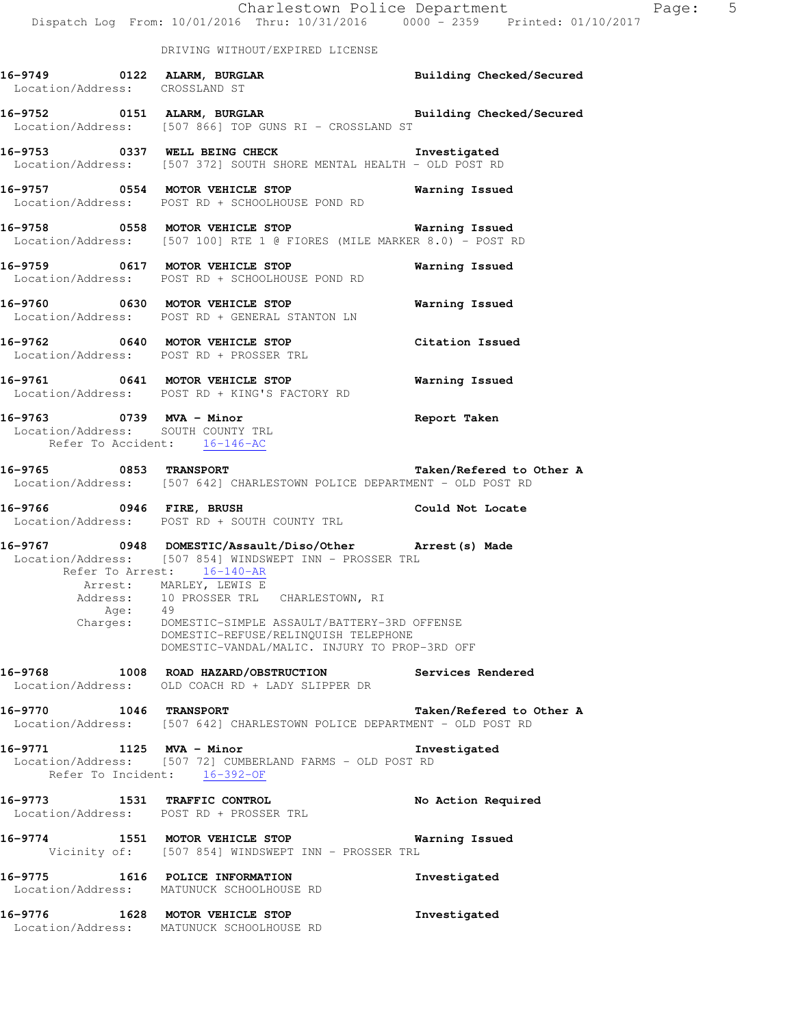|                                                                                                | Dispatch Log From: 10/01/2016 Thru: 10/31/2016 0000 - 2359 Printed: 01/10/2017                                                                                                                                                                                                                                                                  | Charlestown Police Department | Page: 5 |  |
|------------------------------------------------------------------------------------------------|-------------------------------------------------------------------------------------------------------------------------------------------------------------------------------------------------------------------------------------------------------------------------------------------------------------------------------------------------|-------------------------------|---------|--|
|                                                                                                | DRIVING WITHOUT/EXPIRED LICENSE                                                                                                                                                                                                                                                                                                                 |                               |         |  |
| Location/Address: CROSSLAND ST                                                                 |                                                                                                                                                                                                                                                                                                                                                 |                               |         |  |
|                                                                                                | 16-9752 0151 ALARM, BURGLAR BURGLAR Building Checked/Secured<br>Location/Address: [507 866] TOP GUNS RI - CROSSLAND ST                                                                                                                                                                                                                          |                               |         |  |
|                                                                                                | 16-9753 0337 WELL BEING CHECK<br>Location/Address: [507 372] SOUTH SHORE MENTAL HEALTH - OLD POST RD                                                                                                                                                                                                                                            | Investigated                  |         |  |
|                                                                                                | 16-9757 6554 MOTOR VEHICLE STOP 1997 Warning Issued<br>Location/Address: POST RD + SCHOOLHOUSE POND RD                                                                                                                                                                                                                                          |                               |         |  |
|                                                                                                | 16-9758 0558 MOTOR VEHICLE STOP <b>Exam SERVICE STOP</b> Warning Issued<br>Location/Address: [507 100] RTE 1 @ FIORES (MILE MARKER 8.0) - POST RD                                                                                                                                                                                               |                               |         |  |
|                                                                                                | 16-9759 0617 MOTOR VEHICLE STOP<br>Location/Address: POST RD + SCHOOLHOUSE POND RD                                                                                                                                                                                                                                                              | Warning Issued                |         |  |
|                                                                                                | 16-9760 0630 MOTOR VEHICLE STOP<br>Location/Address: POST RD + GENERAL STANTON LN                                                                                                                                                                                                                                                               | Warning Issued                |         |  |
|                                                                                                | 16-9762 0640 MOTOR VEHICLE STOP<br>Location/Address: POST RD + PROSSER TRL                                                                                                                                                                                                                                                                      | Citation Issued               |         |  |
|                                                                                                | 16-9761 0641 MOTOR VEHICLE STOP<br>Location/Address: POST RD + KING'S FACTORY RD                                                                                                                                                                                                                                                                | <b>Warning Issued</b>         |         |  |
| 16-9763 0739 MVA - Minor<br>Location/Address: SOUTH COUNTY TRL<br>Refer To Accident: 16-146-AC |                                                                                                                                                                                                                                                                                                                                                 | <b>Report Taken</b>           |         |  |
|                                                                                                | 16-9765 0853 TRANSPORT<br>Location/Address: [507 642] CHARLESTOWN POLICE DEPARTMENT - OLD POST RD                                                                                                                                                                                                                                               | Taken/Refered to Other A      |         |  |
|                                                                                                | 16-9766 0946 FIRE, BRUSH 16-9766 Could Not Locate<br>Location/Address: POST RD + SOUTH COUNTY TRL                                                                                                                                                                                                                                               |                               |         |  |
| Refer To Arrest: 16-140-AR<br>Age:                                                             | 16-9767 0948 DOMESTIC/Assault/Diso/Other Arrest(s) Made<br>Location/Address: [507 854] WINDSWEPT INN - PROSSER TRL<br>Arrest: MARLEY, LEWIS E<br>Address: 10 PROSSER TRL CHARLESTOWN, RI<br>49<br>Charges: DOMESTIC-SIMPLE ASSAULT/BATTERY-3RD OFFENSE<br>DOMESTIC-REFUSE/RELINOUISH TELEPHONE<br>DOMESTIC-VANDAL/MALIC. INJURY TO PROP-3RD OFF |                               |         |  |
|                                                                                                | 16-9768 1008 ROAD HAZARD/OBSTRUCTION Services Rendered<br>Location/Address: OLD COACH RD + LADY SLIPPER DR                                                                                                                                                                                                                                      |                               |         |  |
| 16-9770 1046 TRANSPORT                                                                         | Location/Address: [507 642] CHARLESTOWN POLICE DEPARTMENT - OLD POST RD                                                                                                                                                                                                                                                                         | Taken/Refered to Other A      |         |  |
| 16-9771 1125 MVA - Minor<br>Refer To Incident: 16-392-OF                                       | Location/Address: [507 72] CUMBERLAND FARMS - OLD POST RD                                                                                                                                                                                                                                                                                       | Investigated                  |         |  |
| Location/Address: POST RD + PROSSER TRL                                                        | 16-9773 1531 TRAFFIC CONTROL                                                                                                                                                                                                                                                                                                                    | No Action Required            |         |  |
|                                                                                                | 16-9774 1551 MOTOR VEHICLE STOP<br>Vicinity of: [507 854] WINDSWEPT INN - PROSSER TRL                                                                                                                                                                                                                                                           | Warning Issued                |         |  |
|                                                                                                | 16-9775 1616 POLICE INFORMATION<br>Location/Address: MATUNUCK SCHOOLHOUSE RD                                                                                                                                                                                                                                                                    | Investigated                  |         |  |
| 16-9776 1628 MOTOR VEHICLE STOP                                                                | Location/Address: MATUNUCK SCHOOLHOUSE RD                                                                                                                                                                                                                                                                                                       | Investigated                  |         |  |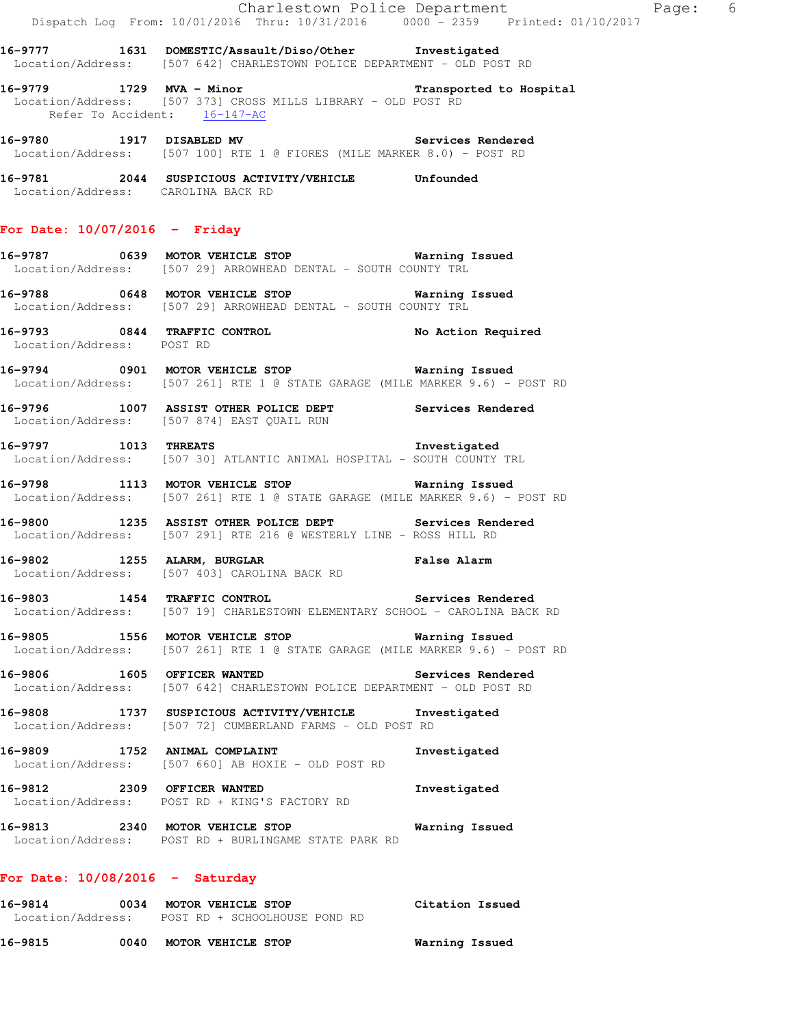**16-9777 1631 DOMESTIC/Assault/Diso/Other Investigated**  Location/Address: [507 642] CHARLESTOWN POLICE DEPARTMENT - OLD POST RD

- **16-9779 1729 MVA Minor Transported to Hospital**  Location/Address: [507 373] CROSS MILLS LIBRARY - OLD POST RD Refer To Accident: 16-147-AC
- **16-9780 1917 DISABLED MV Services Rendered**  Location/Address: [507 100] RTE 1 @ FIORES (MILE MARKER 8.0) - POST RD
- **16-9781 2044 SUSPICIOUS ACTIVITY/VEHICLE Unfounded**  Location/Address: CAROLINA BACK RD

#### **For Date: 10/07/2016 - Friday**

**16-9787 0639 MOTOR VEHICLE STOP Warning Issued**  Location/Address: [507 29] ARROWHEAD DENTAL - SOUTH COUNTY TRL

- **16-9788 0648 MOTOR VEHICLE STOP Warning Issued**  Location/Address: [507 29] ARROWHEAD DENTAL - SOUTH COUNTY TRL
- **16-9793 0844 TRAFFIC CONTROL No Action Required**  Location/Address: POST RD
- **16-9794 0901 MOTOR VEHICLE STOP Warning Issued**  Location/Address: [507 261] RTE 1 @ STATE GARAGE (MILE MARKER 9.6) - POST RD
- **16-9796 1007 ASSIST OTHER POLICE DEPT Services Rendered**  Location/Address: [507 874] EAST QUAIL RUN
- **16-9797 1013 THREATS Investigated**  Location/Address: [507 30] ATLANTIC ANIMAL HOSPITAL - SOUTH COUNTY TRL
- **16-9798 1113 MOTOR VEHICLE STOP Warning Issued**  Location/Address: [507 261] RTE 1 @ STATE GARAGE (MILE MARKER 9.6) - POST RD
- **16-9800 1235 ASSIST OTHER POLICE DEPT Services Rendered**  Location/Address: [507 291] RTE 216 @ WESTERLY LINE - ROSS HILL RD
- **16-9802 1255 ALARM, BURGLAR False Alarm**  Location/Address: [507 403] CAROLINA BACK RD
- **16-9803 1454 TRAFFIC CONTROL Services Rendered**  Location/Address: [507 19] CHARLESTOWN ELEMENTARY SCHOOL - CAROLINA BACK RD
- **16-9805 1556 MOTOR VEHICLE STOP Warning Issued**  Location/Address: [507 261] RTE 1 @ STATE GARAGE (MILE MARKER 9.6) - POST RD
- **16-9806 1605 OFFICER WANTED Services Rendered**  Location/Address: [507 642] CHARLESTOWN POLICE DEPARTMENT - OLD POST RD
- **16-9808 1737 SUSPICIOUS ACTIVITY/VEHICLE Investigated**  Location/Address: [507 72] CUMBERLAND FARMS - OLD POST RD
- **16-9809 1752 ANIMAL COMPLAINT Investigated**  Location/Address: [507 660] AB HOXIE - OLD POST RD
- **16-9812 2309 OFFICER WANTED Investigated**  Location/Address: POST RD + KING'S FACTORY RD
- **16-9813 2340 MOTOR VEHICLE STOP Warning Issued**  Location/Address: POST RD + BURLINGAME STATE PARK RD

#### **For Date: 10/08/2016 - Saturday**

- **16-9814 0034 MOTOR VEHICLE STOP Citation Issued**  Location/Address: POST RD + SCHOOLHOUSE POND RD
- **16-9815 0040 MOTOR VEHICLE STOP Warning Issued**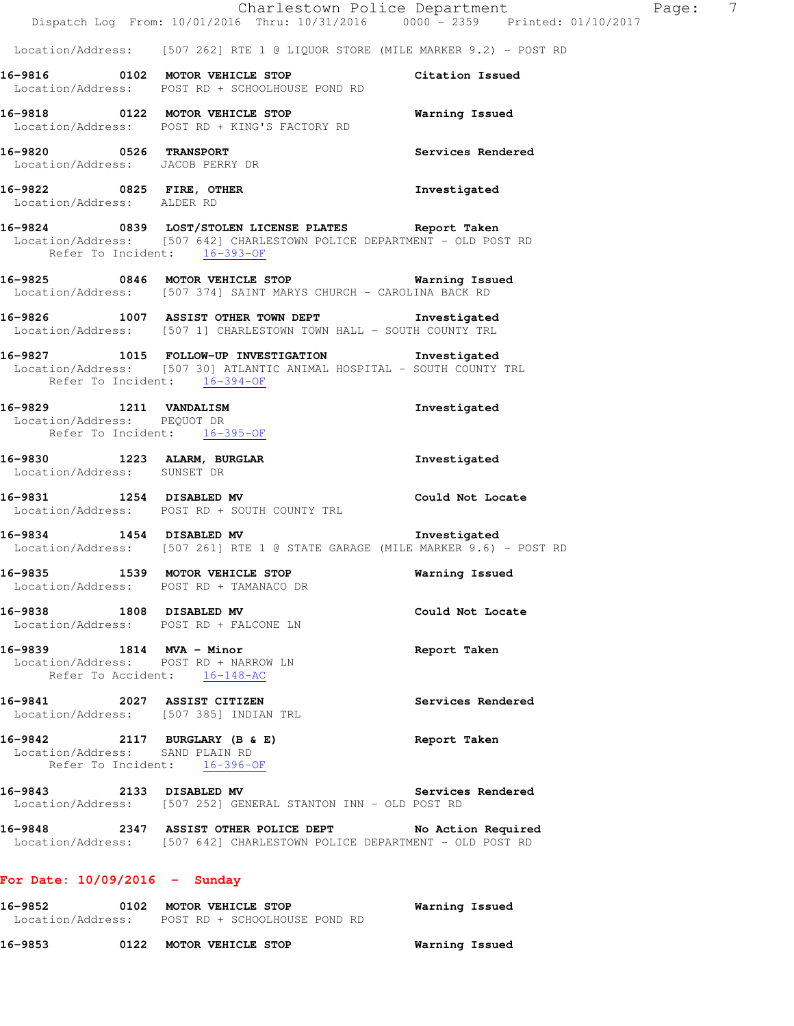|                                                            | Dispatch Log From: 10/01/2016 Thru: 10/31/2016 0000 - 2359 Printed: 01/10/2017                                                                                  | Charlestown Police Department Fage: 7 |  |
|------------------------------------------------------------|-----------------------------------------------------------------------------------------------------------------------------------------------------------------|---------------------------------------|--|
|                                                            | Location/Address: [507 262] RTE 1 @ LIQUOR STORE (MILE MARKER 9.2) - POST RD                                                                                    |                                       |  |
|                                                            | 16-9816 0102 MOTOR VEHICLE STOP<br>Location/Address: POST RD + SCHOOLHOUSE POND RD                                                                              | Citation Issued                       |  |
|                                                            | 16-9818 0122 MOTOR VEHICLE STOP<br>Location/Address: POST RD + KING'S FACTORY RD                                                                                | Warning Issued                        |  |
| 16-9820 0526 TRANSPORT<br>Location/Address: JACOB PERRY DR |                                                                                                                                                                 | Services Rendered                     |  |
| Location/Address: ALDER RD                                 | 16-9822 0825 FIRE, OTHER                                                                                                                                        | Investigated                          |  |
|                                                            | 16-9824 0839 LOST/STOLEN LICENSE PLATES Report Taken<br>Location/Address: [507 642] CHARLESTOWN POLICE DEPARTMENT - OLD POST RD<br>Refer To Incident: 16-393-OF |                                       |  |
|                                                            | 16-9825 0846 MOTOR VEHICLE STOP 6 Warning Issued<br>Location/Address: [507 374] SAINT MARYS CHURCH - CAROLINA BACK RD                                           |                                       |  |
|                                                            | 16-9826 1007 ASSIST OTHER TOWN DEPT 1nvestigated<br>Location/Address: [507 1] CHARLESTOWN TOWN HALL - SOUTH COUNTY TRL                                          |                                       |  |
| Refer To Incident: 16-394-OF                               | 16-9827 1015 FOLLOW-UP INVESTIGATION Investigated<br>Location/Address: [507 30] ATLANTIC ANIMAL HOSPITAL - SOUTH COUNTY TRL                                     |                                       |  |
| Refer To Incident: 16-395-OF                               | 16-9829 1211 VANDALISM<br>Location/Address: PEQUOT DR                                                                                                           | Investigated                          |  |
| Location/Address: SUNSET DR                                | 16-9830 1223 ALARM, BURGLAR                                                                                                                                     | Investigated                          |  |
|                                                            | 16-9831 1254 DISABLED MV<br>Location/Address: POST RD + SOUTH COUNTY TRL                                                                                        | Could Not Locate                      |  |
|                                                            | 16-9834 1454 DISABLED MV<br>Location/Address: [507 261] RTE 1 @ STATE GARAGE (MILE MARKER 9.6) - POST RD                                                        | Investigated                          |  |
| 16-9835                                                    | 1539 MOTOR VEHICLE STOP<br>Location/Address: POST RD + TAMANACO DR                                                                                              | Warning Issued                        |  |
| 16-9838 1808 DISABLED MV                                   | Location/Address: POST RD + FALCONE LN                                                                                                                          | Could Not Locate                      |  |
| 16-9839 1814 MVA - Minor                                   | Location/Address: POST RD + NARROW LN<br>Refer To Accident: 16-148-AC                                                                                           | Report Taken                          |  |
|                                                            | 16-9841 2027 ASSIST CITIZEN<br>Location/Address: [507 385] INDIAN TRL                                                                                           | Services Rendered                     |  |
| Location/Address: SAND PLAIN RD                            | 16-9842 2117 BURGLARY (B & E)<br>Refer To Incident: 16-396-OF                                                                                                   | Report Taken                          |  |
| 16-9843 2133 DISABLED MV                                   | Location/Address: [507 252] GENERAL STANTON INN - OLD POST RD                                                                                                   | Services Rendered                     |  |
|                                                            | 16-9848 2347 ASSIST OTHER POLICE DEPT No Action Required<br>Location/Address: [507 642] CHARLESTOWN POLICE DEPARTMENT - OLD POST RD                             |                                       |  |
| For Date: $10/09/2016$ - Sunday                            |                                                                                                                                                                 |                                       |  |

**16-9852 0102 MOTOR VEHICLE STOP Warning Issued**  Location/Address: POST RD + SCHOOLHOUSE POND RD

**16-9853 0122 MOTOR VEHICLE STOP Warning Issued**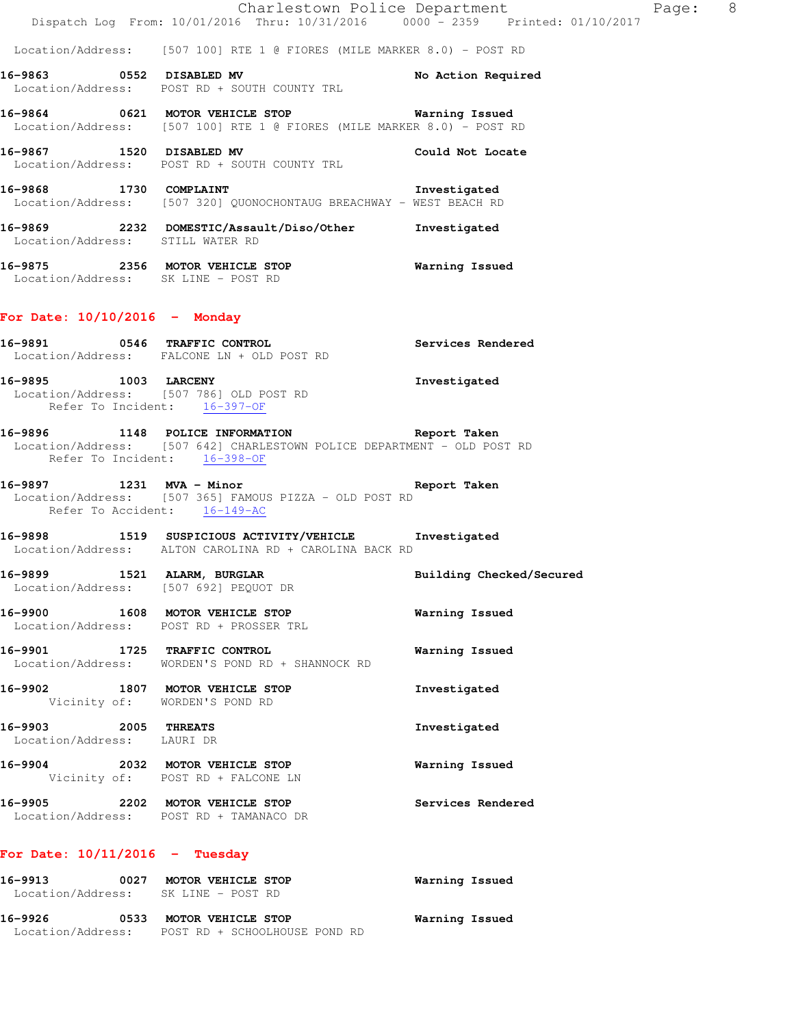Location/Address: [507 100] RTE 1 @ FIORES (MILE MARKER 8.0) - POST RD

16-9863 **0552 DISABLED MV 16-9863** No Action Required Location/Address: POST RD + SOUTH COUNTY TRL

**16-9864 0621 MOTOR VEHICLE STOP Warning Issued**  Location/Address: [507 100] RTE 1 @ FIORES (MILE MARKER 8.0) - POST RD

**16-9867 1520 DISABLED MV Could Not Locate**  Location/Address: POST RD + SOUTH COUNTY TRL

**16-9868 1730 COMPLAINT Investigated**  Location/Address: [507 320] QUONOCHONTAUG BREACHWAY - WEST BEACH RD

**16-9869 2232 DOMESTIC/Assault/Diso/Other Investigated**  Location/Address: STILL WATER RD

**16-9875 2356 MOTOR VEHICLE STOP Warning Issued**  Location/Address: SK LINE - POST RD

#### **For Date: 10/10/2016 - Monday**

**16-9891 0546 TRAFFIC CONTROL Services Rendered**  Location/Address: FALCONE LN + OLD POST RD

**16-9895 1003 LARCENY Investigated**  Location/Address: [507 786] OLD POST RD Refer To Incident: 16-397-OF

#### **16-9896 1148 POLICE INFORMATION Report Taken**  Location/Address: [507 642] CHARLESTOWN POLICE DEPARTMENT - OLD POST RD Refer To Incident: 16-398-OF

**16-9897 1231 MVA - Minor Report Taken**  Location/Address: [507 365] FAMOUS PIZZA - OLD POST RD Refer To Accident: 16-149-AC

**16-9898 1519 SUSPICIOUS ACTIVITY/VEHICLE Investigated**  Location/Address: ALTON CAROLINA RD + CAROLINA BACK RD

**16-9899 1521 ALARM, BURGLAR Building Checked/Secured**  Location/Address: [507 692] PEQUOT DR

**16-9900 1608 MOTOR VEHICLE STOP Warning Issued**  Location/Address: POST RD + PROSSER TRL

**16-9901 1725 TRAFFIC CONTROL Warning Issued**  Location/Address: WORDEN'S POND RD + SHANNOCK RD

**16-9902 1807 MOTOR VEHICLE STOP Investigated**  Vicinity of: WORDEN'S POND RD **16-9903 2005 THREATS Investigated** 

Location/Address: LAURI DR

**16-9904 2032 MOTOR VEHICLE STOP Warning Issued**  Vicinity of: POST RD + FALCONE LN

**16-9905 2202 MOTOR VEHICLE STOP Services Rendered**  Location/Address: POST RD + TAMANACO DR

# **For Date: 10/11/2016 - Tuesday**

| 16–9913<br>Location/Address: | 0027 | MOTOR VEHICLE STOP<br>SK LINE – POST RD | Warning Issued |
|------------------------------|------|-----------------------------------------|----------------|
| 16–9926                      | 0533 | <b>MOTOR VEHICLE STOP</b>               | Warning Issued |
| Location/Address:            |      | POST RD + SCHOOLHOUSE POND RD           |                |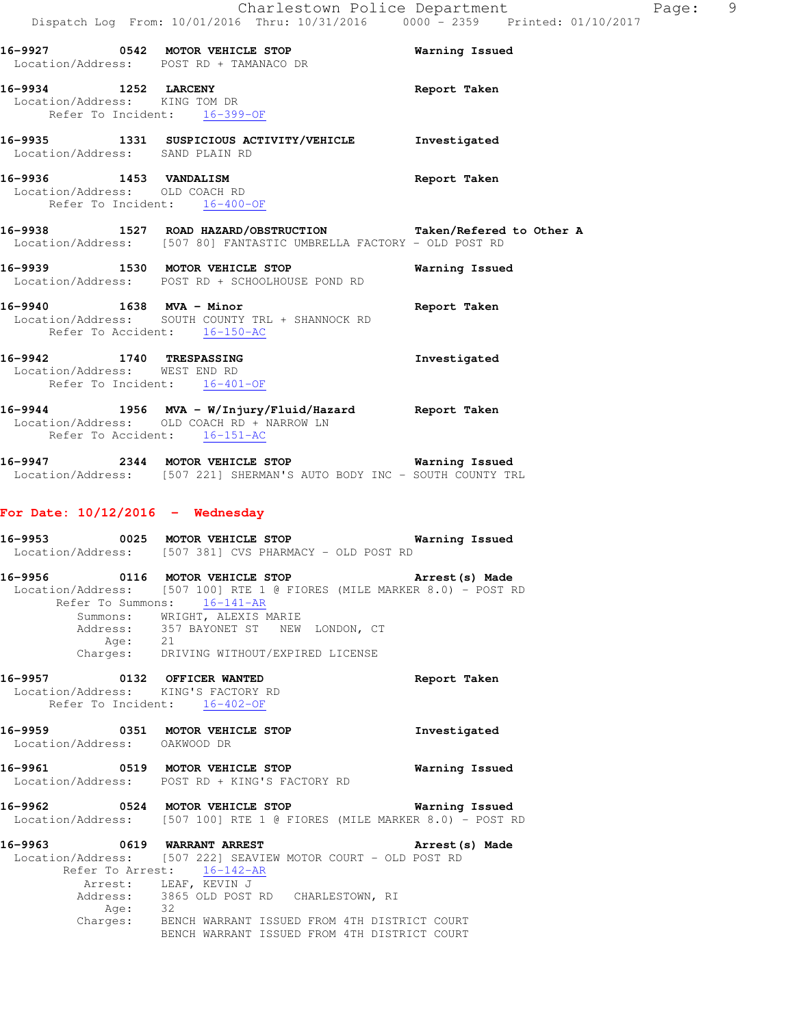| Location/Address: POST RD + TAMANACO DR                                                  | 16-9927 0542 MOTOR VEHICLE STOP                                                                                                      | Warning Issued |
|------------------------------------------------------------------------------------------|--------------------------------------------------------------------------------------------------------------------------------------|----------------|
| 16-9934 1252 LARCENY<br>Location/Address: KING TOM DR<br>Refer To Incident: 16-399-OF    |                                                                                                                                      | Report Taken   |
| Location/Address: SAND PLAIN RD                                                          | 16-9935 1331 SUSPICIOUS ACTIVITY/VEHICLE Truestigated                                                                                |                |
| 16-9936 1453 VANDALISM<br>Location/Address: OLD COACH RD<br>Refer To Incident: 16-400-OF |                                                                                                                                      | Report Taken   |
|                                                                                          | 16-9938 1527 ROAD HAZARD/OBSTRUCTION Taken/Refered to Other A<br>Location/Address: [507 80] FANTASTIC UMBRELLA FACTORY - OLD POST RD |                |
| 16-9939 1530 MOTOR VEHICLE STOP                                                          | Location/Address: POST RD + SCHOOLHOUSE POND RD                                                                                      | Warning Issued |
| 16-9940 1638 MVA - Minor                                                                 | Location/Address: SOUTH COUNTY TRL + SHANNOCK RD                                                                                     | Report Taken   |

**16-9942 1740 TRESPASSING Investigated**  Location/Address: WEST END RD Refer To Incident: 16-401-OF

**16-9944 1956 MVA - W/Injury/Fluid/Hazard Report Taken**  Location/Address: OLD COACH RD + NARROW LN Refer To Accident:  $16-151-AC$ 

**16-9947 2344 MOTOR VEHICLE STOP Warning Issued**  Location/Address: [507 221] SHERMAN'S AUTO BODY INC - SOUTH COUNTY TRL

#### **For Date: 10/12/2016 - Wednesday**

Refer To Accident: 16-150-AC

| 16-9953 |      | 0025 MOTOR VEHICLE STOP                                                | Warning Issued  |
|---------|------|------------------------------------------------------------------------|-----------------|
|         |      | Location/Address: [507 381] CVS PHARMACY - OLD POST RD                 |                 |
| 16-9956 |      | 0116 MOTOR VEHICLE STOP                                                | Arrest (s) Made |
|         |      | Location/Address: [507 100] RTE 1 @ FIORES (MILE MARKER 8.0) - POST RD |                 |
|         |      | Refer To Summons: 16-141-AR                                            |                 |
|         |      | Summons: WRIGHT, ALEXIS MARIE                                          |                 |
|         |      | Address: 357 BAYONET ST NEW LONDON, CT                                 |                 |
|         | Age: | 21                                                                     |                 |
|         |      | Charges: DRIVING WITHOUT/EXPIRED LICENSE                               |                 |

**16-9957 0132 OFFICER WANTED Report Taken**  Location/Address: KING'S FACTORY RD Refer To Incident: 16-402-OF

**16-9959 0351 MOTOR VEHICLE STOP Investigated**  Location/Address: OAKWOOD DR

**16-9961 0519 MOTOR VEHICLE STOP Warning Issued**  Location/Address: POST RD + KING'S FACTORY RD

**16-9962 0524 MOTOR VEHICLE STOP Warning Issued**  Location/Address: [507 100] RTE 1 @ FIORES (MILE MARKER 8.0) - POST RD

**16-9963 0619 WARRANT ARREST Arrest(s) Made**  Location/Address: [507 222] SEAVIEW MOTOR COURT - OLD POST RD Refer To Arrest: 16-142-AR Arrest: LEAF, KEVIN J Address: 3865 OLD POST RD CHARLESTOWN, RI Age: 32 Charges: BENCH WARRANT ISSUED FROM 4TH DISTRICT COURT BENCH WARRANT ISSUED FROM 4TH DISTRICT COURT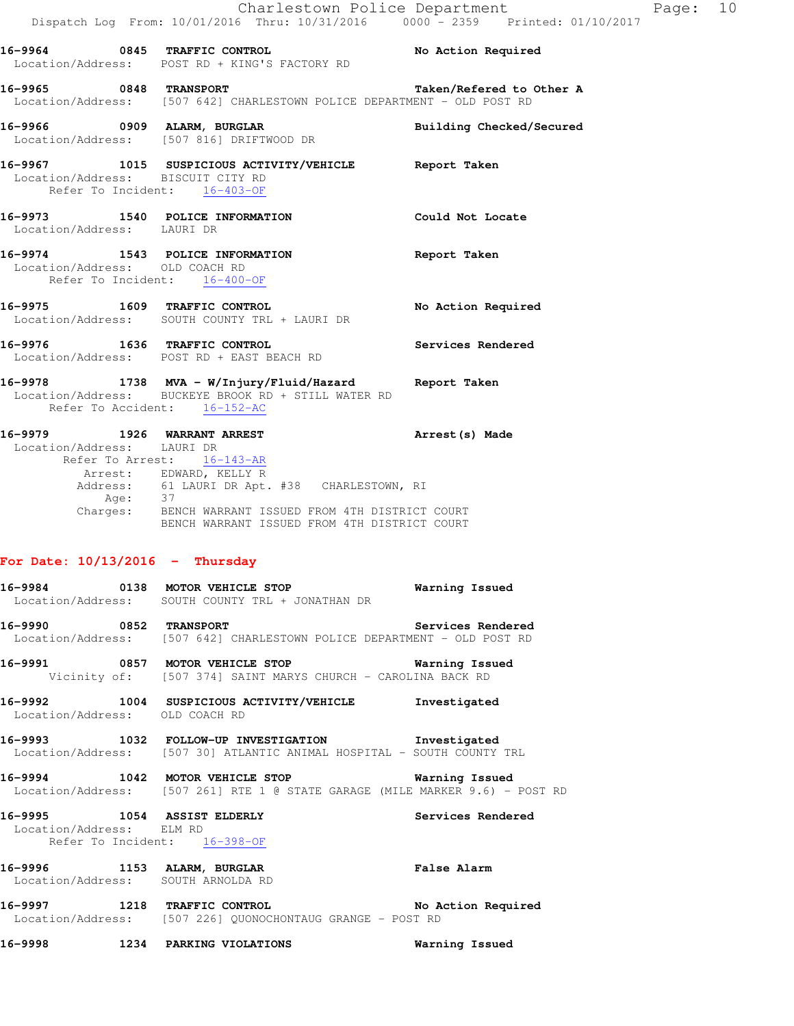|                                   | Dispatch Log From: 10/01/2016 Thru: 10/31/2016 0000 - 2359 Printed: 01/10/2017                                                                                                               | Charlestown Police Department | Page: 10 |  |
|-----------------------------------|----------------------------------------------------------------------------------------------------------------------------------------------------------------------------------------------|-------------------------------|----------|--|
|                                   | 16-9964 0845 TRAFFIC CONTROL No Action Required<br>Location/Address: POST RD + KING'S FACTORY RD                                                                                             |                               |          |  |
|                                   | 16-9965 0848 TRANSPORT<br>Location/Address: [507 642] CHARLESTOWN POLICE DEPARTMENT - OLD POST RD                                                                                            | Taken/Refered to Other A      |          |  |
|                                   | 16-9966 0909 ALARM, BURGLAR<br>Location/Address: [507 816] DRIFTWOOD DR                                                                                                                      | Building Checked/Secured      |          |  |
|                                   | 16-9967 1015 SUSPICIOUS ACTIVITY/VEHICLE Report Taken<br>Location/Address: BISCUIT CITY RD<br>Refer To Incident: 16-403-OF                                                                   |                               |          |  |
| Location/Address: LAURI DR        | 16-9973 1540 POLICE INFORMATION                                                                                                                                                              | Could Not Locate              |          |  |
| Location/Address: OLD COACH RD    | 16-9974 1543 POLICE INFORMATION<br>Refer To Incident: 16-400-OF                                                                                                                              | Report Taken                  |          |  |
|                                   | 16-9975 1609 TRAFFIC CONTROL<br>Location/Address: SOUTH COUNTY TRL + LAURI DR                                                                                                                | No Action Required            |          |  |
|                                   | 16-9976 1636 TRAFFIC CONTROL<br>Location/Address: POST RD + EAST BEACH RD                                                                                                                    | Services Rendered             |          |  |
|                                   | 16-9978 1738 MVA - W/Injury/Fluid/Hazard Report Taken<br>Location/Address: BUCKEYE BROOK RD + STILL WATER RD<br>Refer To Accident: 16-152-AC                                                 |                               |          |  |
| Location/Address: LAURI DR        | 16-9979 1926 WARRANT ARREST<br>Refer To Arrest: 16-143-AR                                                                                                                                    | Arrest(s) Made                |          |  |
|                                   | Arrest: EDWARD, KELLY R<br>Address: 61 LAURI DR Apt. #38 CHARLESTOWN, RI<br>Age: 37<br>Charges: BENCH WARRANT ISSUED FROM 4TH DISTRICT COURT<br>BENCH WARRANT ISSUED FROM 4TH DISTRICT COURT |                               |          |  |
| For Date: $10/13/2016$ - Thursday |                                                                                                                                                                                              |                               |          |  |
| 16-9984<br>Location/Address:      | 0138 MOTOR VEHICLE STOP<br>SOUTH COUNTY TRL + JONATHAN DR                                                                                                                                    | Warning Issued                |          |  |
| 16-9990<br>Location/Address:      | <b>0852 TRANSPORT</b><br>[507 642] CHARLESTOWN POLICE DEPARTMENT - OLD POST RD                                                                                                               | Services Rendered             |          |  |
| 16-9991                           | 0857 MOTOR VEHICLE STOP<br>Vicinity of: [507 374] SAINT MARYS CHURCH - CAROLINA BACK RD                                                                                                      | Warning Issued                |          |  |

**16-9992 1004 SUSPICIOUS ACTIVITY/VEHICLE Investigated**  Location/Address: OLD COACH RD

**16-9993 1032 FOLLOW-UP INVESTIGATION Investigated**  Location/Address: [507 30] ATLANTIC ANIMAL HOSPITAL - SOUTH COUNTY TRL

**16-9994 1042 MOTOR VEHICLE STOP Warning Issued**  Location/Address: [507 261] RTE 1 @ STATE GARAGE (MILE MARKER 9.6) - POST RD

**16-9995 1054 ASSIST ELDERLY Services Rendered**  Location/Address: ELM RD Refer To Incident: 16-398-OF

**16-9996 1153 ALARM, BURGLAR False Alarm**  Location/Address: SOUTH ARNOLDA RD

**16-9997 1218 TRAFFIC CONTROL No Action Required**  Location/Address: [507 226] QUONOCHONTAUG GRANGE - POST RD

**16-9998 1234 PARKING VIOLATIONS Warning Issued**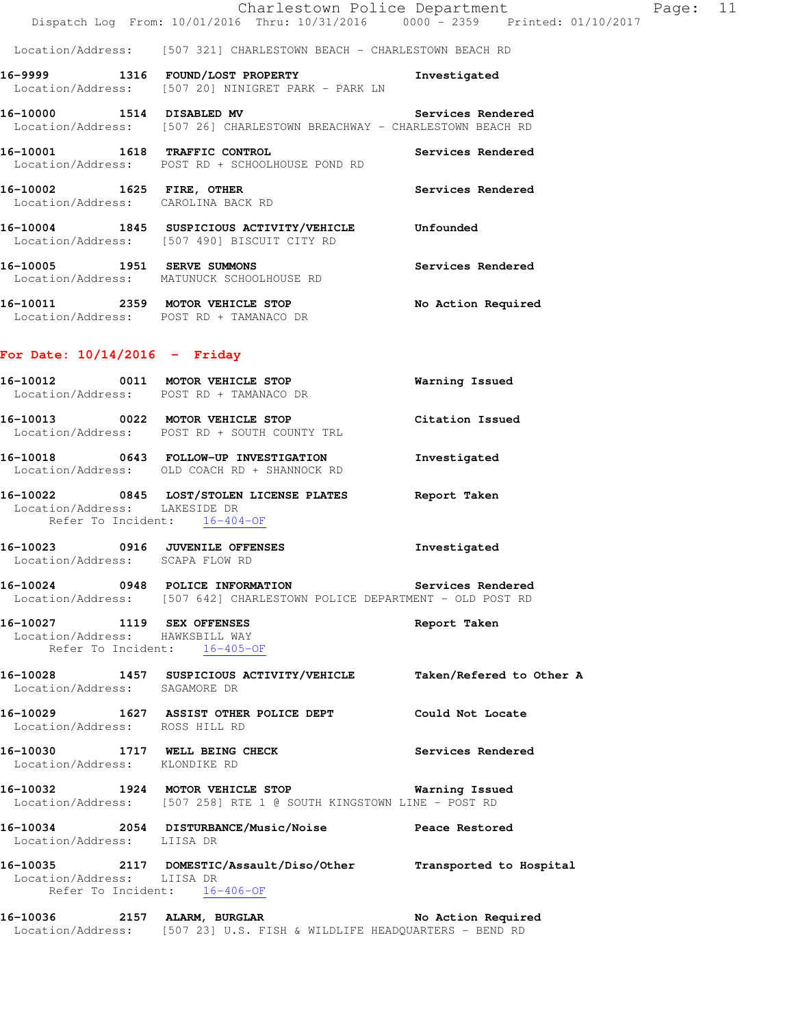Location/Address: [507 321] CHARLESTOWN BEACH - CHARLESTOWN BEACH RD

- **16-9999 1316 FOUND/LOST PROPERTY Investigated**  Location/Address: [507 20] NINIGRET PARK - PARK LN **16-10000 1514 DISABLED MV Services Rendered**
- Location/Address: [507 26] CHARLESTOWN BREACHWAY CHARLESTOWN BEACH RD
- **16-10001 1618 TRAFFIC CONTROL Services Rendered**  Location/Address: POST RD + SCHOOLHOUSE POND RD
- **16-10002 1625 FIRE, OTHER Services Rendered**  Location/Address: CAROLINA BACK RD
- **16-10004 1845 SUSPICIOUS ACTIVITY/VEHICLE Unfounded**  Location/Address: [507 490] BISCUIT CITY RD
- **16-10005 1951 SERVE SUMMONS Services Rendered**  Location/Address: MATUNUCK SCHOOLHOUSE RD
- **16-10011 2359 MOTOR VEHICLE STOP No Action Required**  Location/Address: POST RD + TAMANACO DR

# **For Date: 10/14/2016 - Friday**

|                                                                   | 16-10012 0011 MOTOR VEHICLE STOP 6 Warning Issued<br>Location/Address: POST RD + TAMANACO DR                                  |              |
|-------------------------------------------------------------------|-------------------------------------------------------------------------------------------------------------------------------|--------------|
|                                                                   | 16-10013 0022 MOTOR VEHICLE STOP Citation Issued<br>Location/Address: POST RD + SOUTH COUNTY TRL                              |              |
|                                                                   | 16-10018 0643 FOLLOW-UP INVESTIGATION<br>Location/Address: OLD COACH RD + SHANNOCK RD                                         | Investigated |
| Location/Address: LAKESIDE DR<br>Refer To Incident: 16-404-OF     | 16-10022 0845 LOST/STOLEN LICENSE PLATES Report Taken                                                                         |              |
| Location/Address: SCAPA FLOW RD                                   | 16-10023 0916 JUVENILE OFFENSES                                                                                               | Investigated |
|                                                                   | 16-10024 0948 POLICE INFORMATION Services Rendered<br>Location/Address: [507 642] CHARLESTOWN POLICE DEPARTMENT - OLD POST RD |              |
| Location/Address: HAWKSBILL WAY<br>Refer To Incident: 16-405-OF   | 16-10027 1119 SEX OFFENSES                                                                                                    | Report Taken |
| Location/Address: SAGAMORE DR                                     | 16-10028 1457 SUSPICIOUS ACTIVITY/VEHICLE Taken/Refered to Other A                                                            |              |
| Location/Address: ROSS HILL RD                                    | 16-10029 1627 ASSIST OTHER POLICE DEPT Could Not Locate                                                                       |              |
| Location/Address: KLONDIKE RD                                     | 16-10030 1717 WELL BEING CHECK 1 Services Rendered                                                                            |              |
|                                                                   | 16-10032 1924 MOTOR VEHICLE STOP 6 Warning Issued<br>Location/Address: [507 258] RTE 1 @ SOUTH KINGSTOWN LINE - POST RD       |              |
| Location/Address: LIISA DR                                        | 16-10034 2054 DISTURBANCE/Music/Noise Peace Restored                                                                          |              |
| 16-10035 2117 DOMESTIC/Assault/Diso/Other Transported to Hospital |                                                                                                                               |              |

16-10036 2157 ALARM, BURGLAR **No Action Required** Location/Address: [507 23] U.S. FISH & WILDLIFE HEADQUARTERS - BEND RD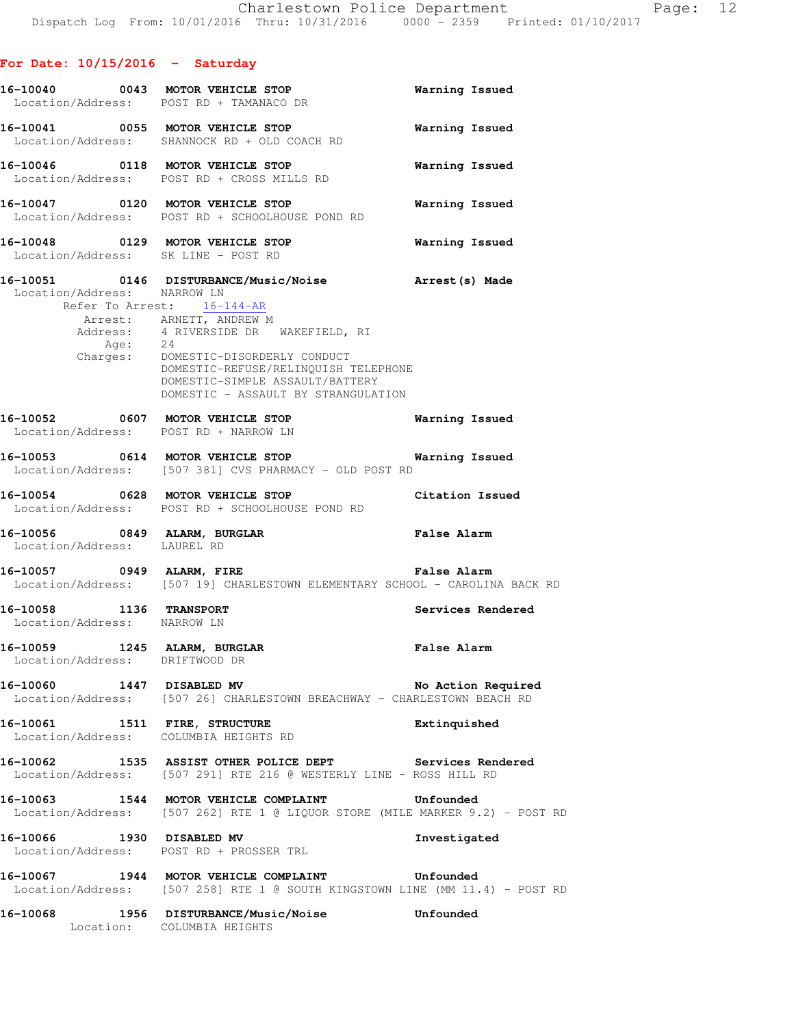|                                                                | 16-10040 0043 MOTOR VEHICLE STOP<br>Location/Address: POST RD + TAMANACO DR                                                                                                                                | Warning Issued        |
|----------------------------------------------------------------|------------------------------------------------------------------------------------------------------------------------------------------------------------------------------------------------------------|-----------------------|
|                                                                | 16-10041 0055 MOTOR VEHICLE STOP<br>Location/Address: SHANNOCK RD + OLD COACH RD                                                                                                                           | Warning Issued        |
|                                                                | 16-10046 0118 MOTOR VEHICLE STOP<br>Location/Address: POST RD + CROSS MILLS RD                                                                                                                             | Warning Issued        |
|                                                                | 16-10047 0120 MOTOR VEHICLE STOP<br>Location/Address: POST RD + SCHOOLHOUSE POND RD                                                                                                                        | <b>Warning Issued</b> |
|                                                                | 16-10048 0129 MOTOR VEHICLE STOP<br>Location/Address: SK LINE - POST RD                                                                                                                                    | Warning Issued        |
| Location/Address: NARROW LN                                    | 16-10051 0146 DISTURBANCE/Music/Noise Marest(s) Made<br>Refer To Arrest: 16-144-AR<br>Arrest: ARNETT, ANDREW M                                                                                             |                       |
|                                                                | Address: 4 RIVERSIDE DR WAKEFIELD, RI<br>Age: 24<br>Charges: DOMESTIC-DISORDERLY CONDUCT<br>DOMESTIC-REFUSE/RELINQUISH TELEPHONE<br>DOMESTIC-SIMPLE ASSAULT/BATTERY<br>DOMESTIC - ASSAULT BY STRANGULATION |                       |
|                                                                | 16-10052 0607 MOTOR VEHICLE STOP<br>Location/Address: POST RD + NARROW LN                                                                                                                                  | <b>Warning Issued</b> |
|                                                                | 16-10053   0614   MOTOR VEHICLE STOP   Warning Issued<br>Location/Address: [507 381] CVS PHARMACY - OLD POST RD                                                                                            |                       |
|                                                                | 16-10054 0628 MOTOR VEHICLE STOP<br>Location/Address: POST RD + SCHOOLHOUSE POND RD                                                                                                                        | Citation Issued       |
| Location/Address: LAUREL RD                                    | 16-10056 0849 ALARM, BURGLAR                                                                                                                                                                               | <b>False Alarm</b>    |
|                                                                | 16-10057 0949 ALARM, FIRE <b>1988 1998 120 False Alarm</b><br>Location/Address: [507 19] CHARLESTOWN ELEMENTARY SCHOOL - CAROLINA BACK RD                                                                  |                       |
| 16-10058 1136 TRANSPORT<br>Location/Address: NARROW LN         |                                                                                                                                                                                                            | Services Rendered     |
| 16-10059 1245 ALARM, BURGLAR<br>Location/Address: DRIFTWOOD DR |                                                                                                                                                                                                            | <b>False Alarm</b>    |
|                                                                | 16-10060 1447 DISABLED MV<br>Location/Address: [507 26] CHARLESTOWN BREACHWAY - CHARLESTOWN BEACH RD                                                                                                       | No Action Required    |
| 16-10061 1511 FIRE, STRUCTURE                                  | Location/Address: COLUMBIA HEIGHTS RD                                                                                                                                                                      | Extinquished          |
|                                                                | 16-10062 1535 ASSIST OTHER POLICE DEPT Services Rendered<br>Location/Address: [507 291] RTE 216 @ WESTERLY LINE - ROSS HILL RD                                                                             |                       |
|                                                                | 16-10063 1544 MOTOR VEHICLE COMPLAINT Unfounded<br>Location/Address: [507 262] RTE 1 @ LIQUOR STORE (MILE MARKER 9.2) - POST RD                                                                            |                       |
|                                                                | 16-10066 1930 DISABLED MV<br>Location/Address: POST RD + PROSSER TRL                                                                                                                                       | Investigated          |
|                                                                | 16-10067 1944 MOTOR VEHICLE COMPLAINT Unfounded<br>Location/Address: [507 258] RTE 1 @ SOUTH KINGSTOWN LINE (MM 11.4) - POST RD                                                                            |                       |
| 16-10068 1956 DISTURBANCE/Music/Noise 5 Unfounded              |                                                                                                                                                                                                            |                       |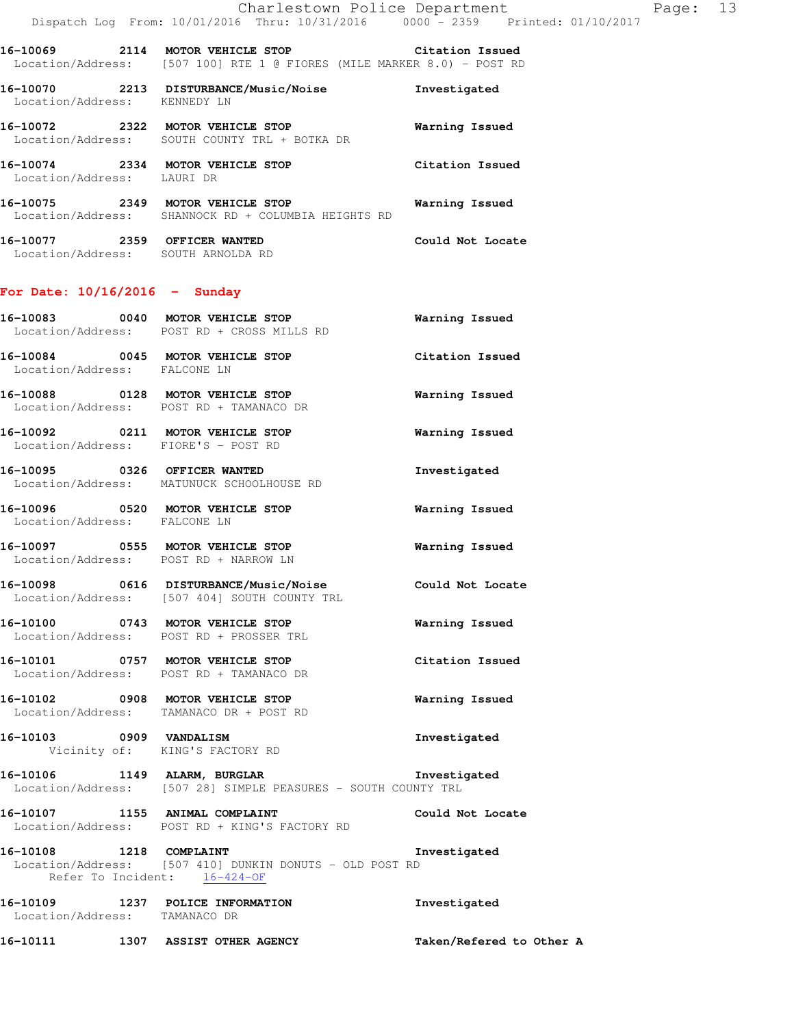**16-10069 2114 MOTOR VEHICLE STOP Citation Issued**  Location/Address: [507 100] RTE 1 @ FIORES (MILE MARKER 8.0) - POST RD

| 16-10070<br>Location/Address: | 2213 | <b>DISTURBANCE/Music/Noise</b><br>KENNEDY LN                        | Investigated    |
|-------------------------------|------|---------------------------------------------------------------------|-----------------|
| 16-10072                      | 2322 | MOTOR VEHICLE STOP<br>Location/Address: SOUTH COUNTY TRL + BOTKA DR | Warning Issued  |
| 16-10074<br>Location/Address: | 2334 | MOTOR VEHICLE STOP<br>LAURI DR                                      | Citation Issued |

**16-10075 2349 MOTOR VEHICLE STOP Warning Issued**  Location/Address: SHANNOCK RD + COLUMBIA HEIGHTS RD

| 16-10077          | 2359 OFFICER WANTED | Could Not Locate |
|-------------------|---------------------|------------------|
| Location/Address: | SOUTH ARNOLDA RD    |                  |

# **For Date: 10/16/2016 - Sunday**

|                                                           | 16-10083 0040 MOTOR VEHICLE STOP<br>Location/Address: POST RD + CROSS MILLS RD                                | <b>Warning Issued</b>    |
|-----------------------------------------------------------|---------------------------------------------------------------------------------------------------------------|--------------------------|
| Location/Address: FALCONE LN                              | 16-10084 0045 MOTOR VEHICLE STOP Citation Issued                                                              |                          |
|                                                           | 16-10088 0128 MOTOR VEHICLE STOP<br>Location/Address: POST RD + TAMANACO DR                                   | Warning Issued           |
| Location/Address: FIORE'S - POST RD                       | 16-10092 0211 MOTOR VEHICLE STOP                                                                              | Warning Issued           |
|                                                           | 16-10095 0326 OFFICER WANTED<br>Location/Address: MATUNUCK SCHOOLHOUSE RD                                     | Investigated             |
| Location/Address: FALCONE LN                              | 16-10096 0520 MOTOR VEHICLE STOP                                                                              | Warning Issued           |
|                                                           | 16-10097 0555 MOTOR VEHICLE STOP<br>Location/Address: POST RD + NARROW LN                                     | Warning Issued           |
|                                                           | 16-10098   0616   DISTURBANCE/Music/Noise   Could Not Locate<br>Location/Address: [507 404] SOUTH COUNTY TRL  |                          |
|                                                           | 16-10100 0743 MOTOR VEHICLE STOP<br>Location/Address: POST RD + PROSSER TRL                                   | <b>Warning Issued</b>    |
|                                                           | 16-10101 0757 MOTOR VEHICLE STOP<br>Location/Address: POST RD + TAMANACO DR                                   | Citation Issued          |
|                                                           | 16-10102 0908 MOTOR VEHICLE STOP<br>Location/Address: TAMANACO DR + POST RD                                   | <b>Warning Issued</b>    |
| 16-10103 0909 VANDALISM<br>Vicinity of: KING'S FACTORY RD |                                                                                                               | Investigated             |
|                                                           | 16-10106 1149 ALARM, BURGLAR 10 1nvestigated<br>Location/Address: [507 28] SIMPLE PEASURES - SOUTH COUNTY TRL |                          |
|                                                           | 16-10107 1155 ANIMAL COMPLAINT<br>Location/Address: POST RD + KING'S FACTORY RD                               | Could Not Locate         |
| 16-10108 1218 COMPLAINT<br>Refer To Incident: 16-424-OF   | Location/Address: [507 410] DUNKIN DONUTS - OLD POST RD                                                       | Investigated             |
| Location/Address: TAMANACO DR                             | 16-10109 1237 POLICE INFORMATION                                                                              | Investigated             |
| 16-10111 1307 ASSIST OTHER AGENCY                         |                                                                                                               | Taken/Refered to Other A |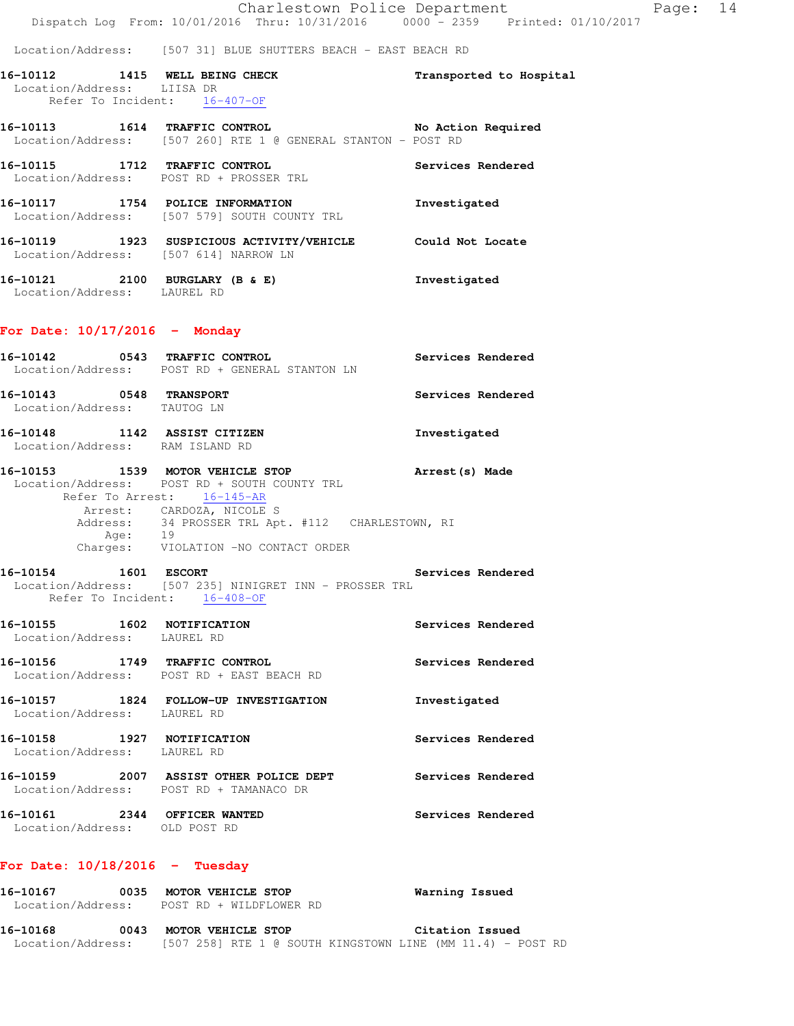Location/Address: [507 31] BLUE SHUTTERS BEACH - EAST BEACH RD

| 16-10112                                                      | 1415 | <b>WELL BEING CHECK</b> |  |  |  | Transported to Hospital |  |
|---------------------------------------------------------------|------|-------------------------|--|--|--|-------------------------|--|
| Location/Address: LIISA DR                                    |      |                         |  |  |  |                         |  |
| Refer To Incident: 16-407-OF                                  |      |                         |  |  |  |                         |  |
| 16–10113                                                      | 1614 | <b>TRAFFIC CONTROL</b>  |  |  |  | No Action Required      |  |
| Location/Address: [507 260] RTE 1 @ GENERAL STANTON - POST RD |      |                         |  |  |  |                         |  |

**16-10115 1712 TRAFFIC CONTROL Services Rendered**  Location/Address: POST RD + PROSSER TRL

**16-10117 1754 POLICE INFORMATION Investigated**  Location/Address: [507 579] SOUTH COUNTY TRL

**16-10119 1923 SUSPICIOUS ACTIVITY/VEHICLE Could Not Locate**  Location/Address: [507 614] NARROW LN

**16-10121 2100 BURGLARY (B & E) Investigated**  Location/Address: LAUREL RD

#### **For Date: 10/17/2016 - Monday**

| 16-10142<br>Location/Address: | 0543 | TRAFFIC CONTROL<br>POST RD + GENERAL STANTON LN                    | Services Rendered |
|-------------------------------|------|--------------------------------------------------------------------|-------------------|
| 16–10143<br>Location/Address: | 0548 | <b>TRANSPORT</b><br>TAUTOG LN                                      | Services Rendered |
| 16–10148<br>Location/Address: | 1142 | ASSIST CITIZEN<br>RAM ISLAND RD                                    | Investigated      |
| 16–10153                      | 1539 | MOTOR VEHICLE STOP<br>Location/Address: POST RD + SOUTH COUNTY TRL | Arrest (s) Made   |

 Refer To Arrest: 16-145-AR Arrest: CARDOZA, NICOLE S Address: 34 PROSSER TRL Apt. #112 CHARLESTOWN, RI Age: 19 Charges: VIOLATION -NO CONTACT ORDER

**16-10154 1601 ESCORT Services Rendered**  Location/Address: [507 235] NINIGRET INN - PROSSER TRL Refer To Incident: 16-408-OF

**16-10155 1602 NOTIFICATION Services Rendered**  Location/Address: LAUREL RD **16-10156 1749 TRAFFIC CONTROL Services Rendered**  Location/Address: POST RD + EAST BEACH RD

**16-10157 1824 FOLLOW-UP INVESTIGATION Investigated**  Location/Address: LAUREL RD **16-10158 1927 NOTIFICATION Services Rendered**  Location/Address: LAUREL RD **16-10159 2007 ASSIST OTHER POLICE DEPT Services Rendered**  Location/Address: POST RD + TAMANACO DR

**16-10161 2344 OFFICER WANTED Services Rendered**  Location/Address: OLD POST RD

# **For Date: 10/18/2016 - Tuesday**

| 16-10167          | 0035 | MOTOR VEHICLE STOP      | Warning Issued                                               |
|-------------------|------|-------------------------|--------------------------------------------------------------|
| Location/Address: |      | POST RD + WILDFLOWER RD |                                                              |
| 16-10168          | 0043 | MOTOR VEHICLE STOP      | Citation Issued                                              |
| Location/Address: |      |                         | $[507 258]$ RTE 1 @ SOUTH KINGSTOWN LINE (MM 11.4) - POST RD |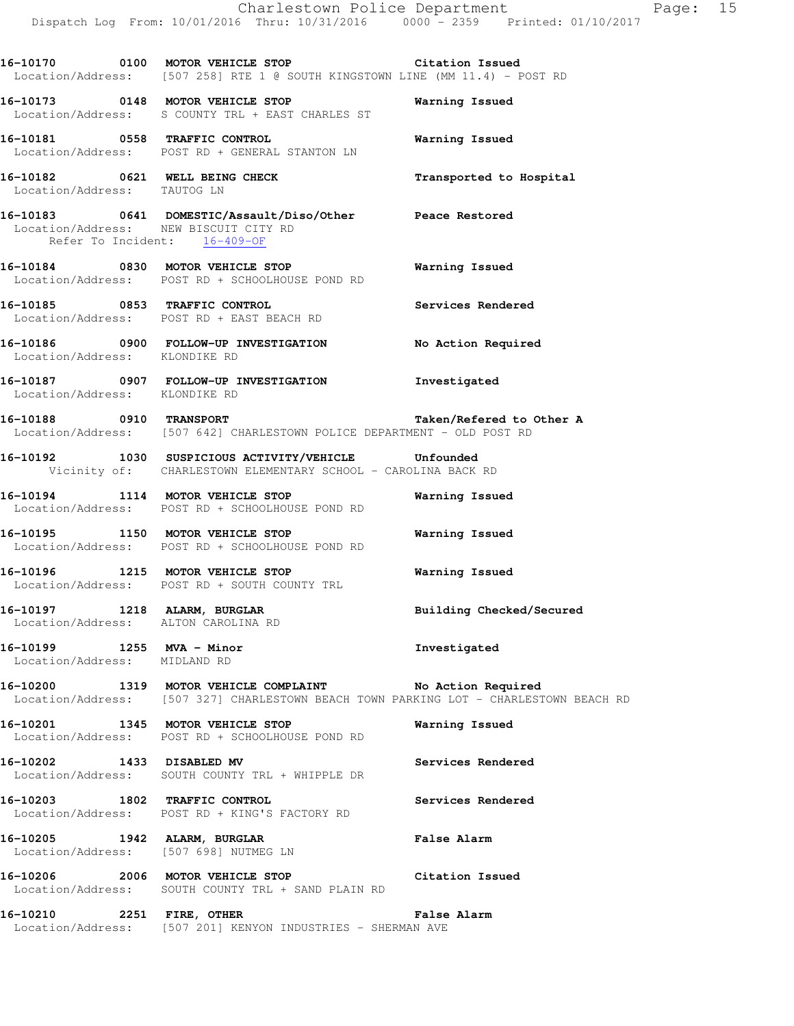**16-10170 0100 MOTOR VEHICLE STOP Citation Issued**  Location/Address: [507 258] RTE 1 @ SOUTH KINGSTOWN LINE (MM 11.4) - POST RD

**16-10173 0148 MOTOR VEHICLE STOP Warning Issued**  Location/Address: S COUNTY TRL + EAST CHARLES ST

**16-10181 0558 TRAFFIC CONTROL Warning Issued**  Location/Address: POST RD + GENERAL STANTON LN

**16-10182 0621 WELL BEING CHECK Transported to Hospital**  Location/Address: TAUTOG LN

**16-10183 0641 DOMESTIC/Assault/Diso/Other Peace Restored**  Location/Address: NEW BISCUIT CITY RD Refer To Incident: 16-409-OF

**16-10184 0830 MOTOR VEHICLE STOP Warning Issued**  Location/Address: POST RD + SCHOOLHOUSE POND RD

**16-10185 0853 TRAFFIC CONTROL Services Rendered**  Location/Address: POST RD + EAST BEACH RD

**16-10186 0900 FOLLOW-UP INVESTIGATION No Action Required**  Location/Address: KLONDIKE RD

**16-10187 0907 FOLLOW-UP INVESTIGATION Investigated**  Location/Address: KLONDIKE RD

**16-10188 0910 TRANSPORT Taken/Refered to Other A**  Location/Address: [507 642] CHARLESTOWN POLICE DEPARTMENT - OLD POST RD

**16-10192 1030 SUSPICIOUS ACTIVITY/VEHICLE Unfounded**  Vicinity of: CHARLESTOWN ELEMENTARY SCHOOL - CAROLINA BACK RD

**16-10194 1114 MOTOR VEHICLE STOP Warning Issued**  Location/Address: POST RD + SCHOOLHOUSE POND RD

**16-10195 1150 MOTOR VEHICLE STOP Warning Issued**  Location/Address: POST RD + SCHOOLHOUSE POND RD

**16-10196 1215 MOTOR VEHICLE STOP Warning Issued**  Location/Address: POST RD + SOUTH COUNTY TRL

16-10197 1218 ALARM, BURGLAR **Building Checked/Secured** Location/Address: ALTON CAROLINA RD

**16-10199 1255 MVA - Minor Investigated**  Location/Address: MIDLAND RD

**16-10200 1319 MOTOR VEHICLE COMPLAINT No Action Required**  Location/Address: [507 327] CHARLESTOWN BEACH TOWN PARKING LOT - CHARLESTOWN BEACH RD

**16-10201 1345 MOTOR VEHICLE STOP Warning Issued**  Location/Address: POST RD + SCHOOLHOUSE POND RD

**16-10202 1433 DISABLED MV Services Rendered**  Location/Address: SOUTH COUNTY TRL + WHIPPLE DR

**16-10203 1802 TRAFFIC CONTROL Services Rendered**  Location/Address: POST RD + KING'S FACTORY RD

**16-10205 1942 ALARM, BURGLAR False Alarm**  Location/Address: [507 698] NUTMEG LN

**16-10206 2006 MOTOR VEHICLE STOP Citation Issued**  Location/Address: SOUTH COUNTY TRL + SAND PLAIN RD

**16-10210 2251 FIRE, OTHER False Alarm**  Location/Address: [507 201] KENYON INDUSTRIES - SHERMAN AVE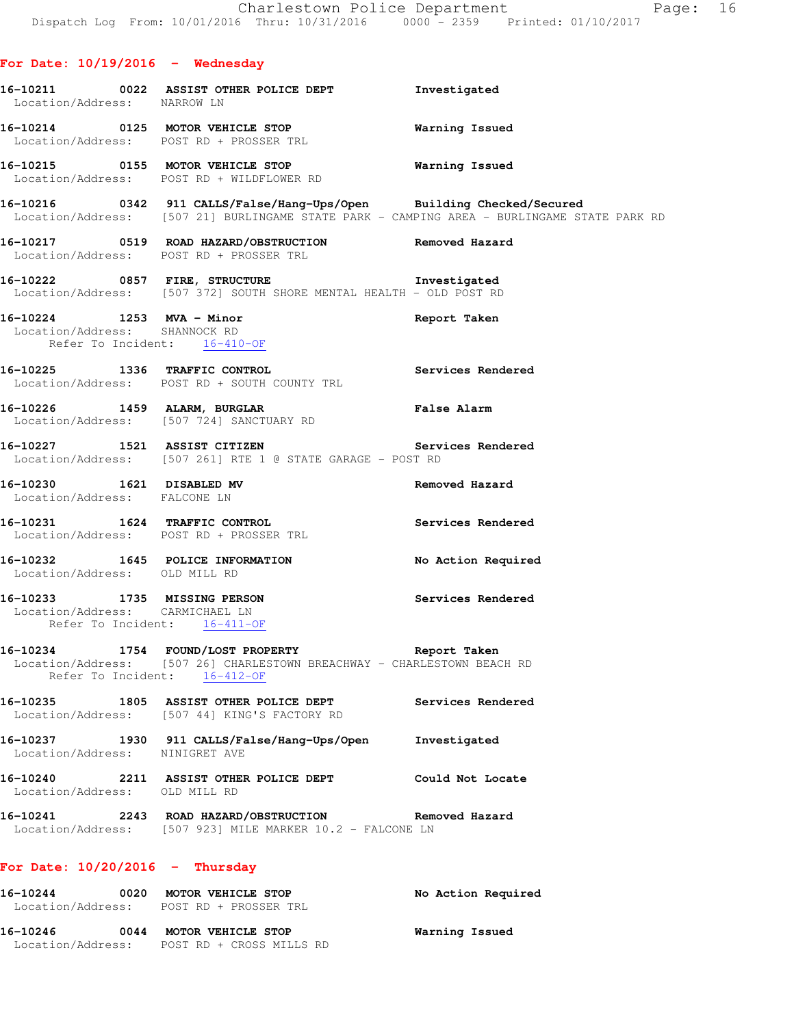# **For Date: 10/19/2016 - Wednesday**

| Location/Address: NARROW LN                                     | 16-10211 0022 ASSIST OTHER POLICE DEPT Investigated                                                                                                                       |                                                                                            |
|-----------------------------------------------------------------|---------------------------------------------------------------------------------------------------------------------------------------------------------------------------|--------------------------------------------------------------------------------------------|
|                                                                 | 16-10214 0125 MOTOR VEHICLE STOP 6 Warning Issued<br>Location/Address: POST RD + PROSSER TRL                                                                              |                                                                                            |
|                                                                 | 16-10215 0155 MOTOR VEHICLE STOP 6 Warning Issued<br>Location/Address: POST RD + WILDFLOWER RD                                                                            |                                                                                            |
|                                                                 | 16-10216 0342 911 CALLS/False/Hang-Ups/Open Building Checked/Secured                                                                                                      | Location/Address: [507 21] BURLINGAME STATE PARK - CAMPING AREA - BURLINGAME STATE PARK RD |
|                                                                 | 16-10217 0519 ROAD HAZARD/OBSTRUCTION Removed Hazard<br>Location/Address: POST RD + PROSSER TRL                                                                           |                                                                                            |
|                                                                 | 16-10222 0857 FIRE, STRUCTURE 16-10222 Investigated<br>Location/Address: [507 372] SOUTH SHORE MENTAL HEALTH - OLD POST RD                                                |                                                                                            |
|                                                                 | 16-10224 1253 MVA - Minor<br>Location/Address: SHANNOCK RD<br>Refer To Incident: 16-410-0F<br>Refer To Incident: 16-410-OF                                                | Report Taken                                                                               |
|                                                                 | 16-10225 1336 TRAFFIC CONTROL<br>Location/Address: POST RD + SOUTH COUNTY TRL                                                                                             | Services Rendered                                                                          |
|                                                                 | 16-10226 1459 ALARM, BURGLAR<br>Location/Address: [507 724] SANCTUARY RD                                                                                                  | <b>False Alarm</b>                                                                         |
|                                                                 | 16-10227 1521 ASSIST CITIZEN Services Rendered<br>Location/Address: [507 261] RTE 1 @ STATE GARAGE - POST RD                                                              |                                                                                            |
| Location/Address: FALCONE LN                                    | 16-10230 1621 DISABLED MV                                                                                                                                                 | Removed Hazard                                                                             |
|                                                                 | 16-10231 1624 TRAFFIC CONTROL<br>Location/Address: POST RD + PROSSER TRL                                                                                                  | Services Rendered                                                                          |
| Location/Address: OLD MILL RD                                   | 16-10232 1645 POLICE INFORMATION                                                                                                                                          | No Action Required                                                                         |
| Location/Address: CARMICHAEL LN<br>Refer To Incident: 16-411-OF | 16-10233 1735 MISSING PERSON                                                                                                                                              | Services Rendered                                                                          |
|                                                                 | 16-10234 1754 FOUND/LOST PROPERTY <b>16-10234</b> Report Taken<br>Location/Address: [507 26] CHARLESTOWN BREACHWAY - CHARLESTOWN BEACH RD<br>Refer To Incident: 16-412-OF |                                                                                            |
|                                                                 | 16-10235 1805 ASSIST OTHER POLICE DEPT<br>Location/Address: [507 44] KING'S FACTORY RD                                                                                    | Services Rendered                                                                          |
| Location/Address: NINIGRET AVE                                  | 16-10237 1930 911 CALLS/False/Hang-Ups/Open                                                                                                                               | Investigated                                                                               |
| Location/Address: OLD MILL RD                                   | 16-10240 2211 ASSIST OTHER POLICE DEPT                                                                                                                                    | Could Not Locate                                                                           |
|                                                                 | 16-10241 2243 ROAD HAZARD/OBSTRUCTION Removed Hazard<br>Location/Address: [507 923] MILE MARKER 10.2 - FALCONE LN                                                         |                                                                                            |
| For Date: $10/20/2016$ - Thursday                               |                                                                                                                                                                           |                                                                                            |
| 16-10244                                                        | 0020 MOTOR VEHICLE STOP<br>Location/Address: POST RD + PROSSER TRL                                                                                                        | No Action Required                                                                         |

**16-10246 0044 MOTOR VEHICLE STOP Warning Issued**  Location/Address: POST RD + CROSS MILLS RD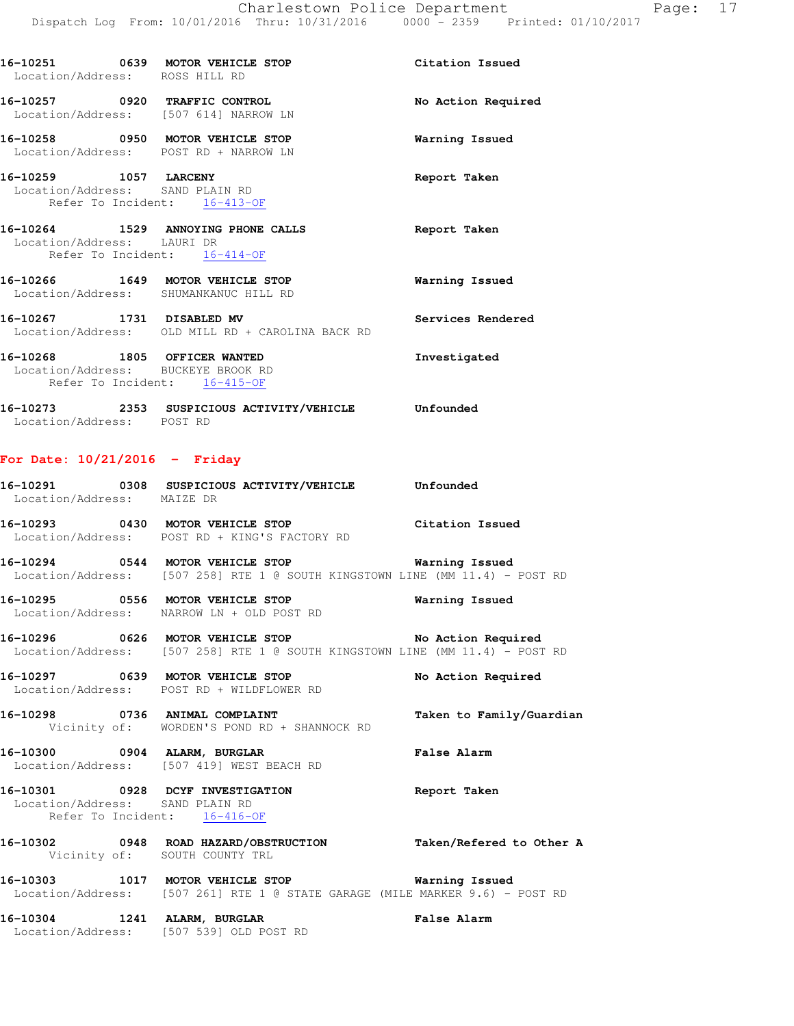| Location/Address: ROSS HILL RD | 16-10251 0639 MOTOR VEHICLE STOP                                                                   | Citation Issued    |
|--------------------------------|----------------------------------------------------------------------------------------------------|--------------------|
|                                | 16-10257 0920 TRAFFIC CONTROL<br>Location/Address: [507 614] NARROW LN                             | No Action Required |
|                                | 16-10258 0950 MOTOR VEHICLE STOP<br>Location/Address: POST RD + NARROW LN                          | Warning Issued     |
| 16-10259 1057 LARCENY          | Location/Address: SAND PLAIN RD<br>Refer To Incident: 16-413-OF                                    | Report Taken       |
| Location/Address: LAURI DR     | 16-10264 1529 ANNOYING PHONE CALLS<br>Refer To Incident: 16-414-OF                                 | Report Taken       |
|                                | 16-10266 1649 MOTOR VEHICLE STOP<br>Location/Address: SHUMANKANUC HILL RD                          | Warning Issued     |
|                                | 16-10267 1731 DISABLED MV<br>Location/Address: OLD MILL RD + CAROLINA BACK RD                      | Services Rendered  |
|                                | 16-10268 1805 OFFICER WANTED<br>Location/Address: BUCKEYE BROOK RD<br>Refer To Incident: 16-415-OF | Investigated       |
| Location/Address: POST RD      | 16-10273 2353 SUSPICIOUS ACTIVITY/VEHICLE Unfounded                                                |                    |

# **For Date: 10/21/2016 - Friday**

| 16-10291          | 0308 | SUSPICIOUS ACTIVITY/VEHICLE | Unfounded       |  |
|-------------------|------|-----------------------------|-----------------|--|
| Location/Address: |      | MAIZE DR                    |                 |  |
| 16-10293          | 0430 | MOTOR VEHICLE STOP          | Citation Issued |  |

Location/Address: POST RD + KING'S FACTORY RD

**16-10294 0544 MOTOR VEHICLE STOP Warning Issued**  Location/Address: [507 258] RTE 1 @ SOUTH KINGSTOWN LINE (MM 11.4) - POST RD

**16-10295 0556 MOTOR VEHICLE STOP Warning Issued**  Location/Address: NARROW LN + OLD POST RD

**16-10296 0626 MOTOR VEHICLE STOP No Action Required**  Location/Address: [507 258] RTE 1 @ SOUTH KINGSTOWN LINE (MM 11.4) - POST RD

**16-10297 0639 MOTOR VEHICLE STOP No Action Required**  Location/Address: POST RD + WILDFLOWER RD

**16-10298 0736 ANIMAL COMPLAINT Taken to Family/Guardian**  Vicinity of: WORDEN'S POND RD + SHANNOCK RD

**16-10300 0904 ALARM, BURGLAR False Alarm**  Location/Address: [507 419] WEST BEACH RD

### **16-10301 0928 DCYF INVESTIGATION Report Taken**  Location/Address: SAND PLAIN RD Refer To Incident: 16-416-OF

**16-10302 0948 ROAD HAZARD/OBSTRUCTION Taken/Refered to Other A**  Vicinity of: SOUTH COUNTY TRL

**16-10303 1017 MOTOR VEHICLE STOP Warning Issued**  Location/Address: [507 261] RTE 1 @ STATE GARAGE (MILE MARKER 9.6) - POST RD

**16-10304 1241 ALARM, BURGLAR False Alarm**  Location/Address: [507 539] OLD POST RD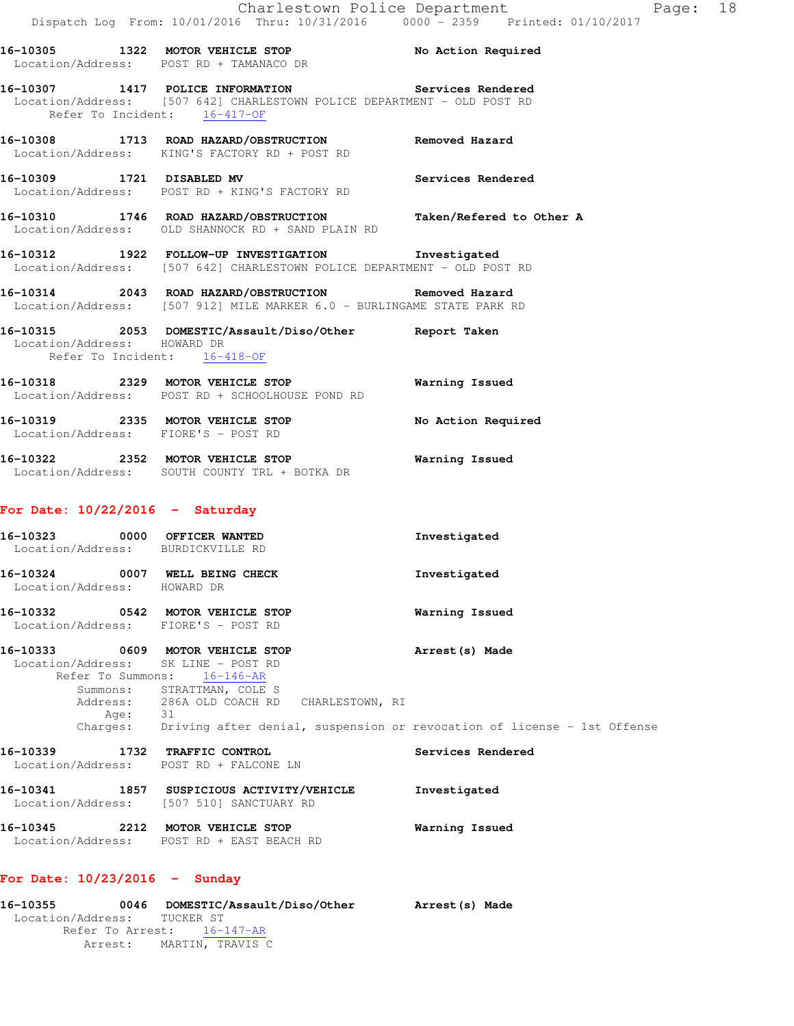| 16–10307                                                                |  | 1417 POLICE INFORMATION |  | <b>Services Rendered</b> |  |
|-------------------------------------------------------------------------|--|-------------------------|--|--------------------------|--|
| Location/Address: [507 642] CHARLESTOWN POLICE DEPARTMENT - OLD POST RD |  |                         |  |                          |  |
| Refer To Incident:                                                      |  | 16-417-OF               |  |                          |  |

**16-10308 1713 ROAD HAZARD/OBSTRUCTION Removed Hazard**  Location/Address: KING'S FACTORY RD + POST RD

Location/Address: POST RD + TAMANACO DR

**16-10309 1721 DISABLED MV Services Rendered**  Location/Address: POST RD + KING'S FACTORY RD

- **16-10310 1746 ROAD HAZARD/OBSTRUCTION Taken/Refered to Other A**  Location/Address: OLD SHANNOCK RD + SAND PLAIN RD
- **16-10312 1922 FOLLOW-UP INVESTIGATION Investigated**  Location/Address: [507 642] CHARLESTOWN POLICE DEPARTMENT - OLD POST RD
- **16-10314 2043 ROAD HAZARD/OBSTRUCTION Removed Hazard**  Location/Address: [507 912] MILE MARKER 6.0 - BURLINGAME STATE PARK RD

**16-10315 2053 DOMESTIC/Assault/Diso/Other Report Taken**  Location/Address: HOWARD DR Refer To Incident: 16-418-OF

**16-10318 2329 MOTOR VEHICLE STOP Warning Issued**  Location/Address: POST RD + SCHOOLHOUSE POND RD

**16-10319 2335 MOTOR VEHICLE STOP No Action Required**  Location/Address: FIORE'S - POST RD

**16-10322 2352 MOTOR VEHICLE STOP Warning Issued**  Location/Address: SOUTH COUNTY TRL + BOTKA DR

### **For Date: 10/22/2016 - Saturday**

| 16-10323<br>0000<br>Location/Address: |      | OFFICER WANTED<br>BURDICKVILLE RD | Investigated   |
|---------------------------------------|------|-----------------------------------|----------------|
| 16-10324<br>Location/Address:         | 0007 | WELL BEING CHECK<br>HOWARD DR     | Investigated   |
| 16-10332                              | 0542 | MOTOR VEHICLE STOP                | Warning Issued |

Location/Address: FIORE'S - POST RD

# **16-10333 0609 MOTOR VEHICLE STOP Arrest(s) Made**  Location/Address: SK LINE - POST RD

 Refer To Summons: 16-146-AR Summons: STRATTMAN, COLE S Address: 286A OLD COACH RD CHARLESTOWN, RI Age: 31 Charges: Driving after denial, suspension or revocation of license - 1st Offense

# **16-10339 1732 TRAFFIC CONTROL Services Rendered**  Location/Address: POST RD + FALCONE LN

**16-10341 1857 SUSPICIOUS ACTIVITY/VEHICLE Investigated**  Location/Address: [507 510] SANCTUARY RD **16-10345 2212 MOTOR VEHICLE STOP Warning Issued** 

Location/Address: POST RD + EAST BEACH RD

# **For Date: 10/23/2016 - Sunday**

| 16-10355                    | 0046    |                  | DOMESTIC/Assault/Diso/Other | Arrest (s) Made |  |
|-----------------------------|---------|------------------|-----------------------------|-----------------|--|
| Location/Address: TUCKER ST |         |                  |                             |                 |  |
| Refer To Arrest: 16-147-AR  |         |                  |                             |                 |  |
|                             | Arrest: | MARTIN, TRAVIS C |                             |                 |  |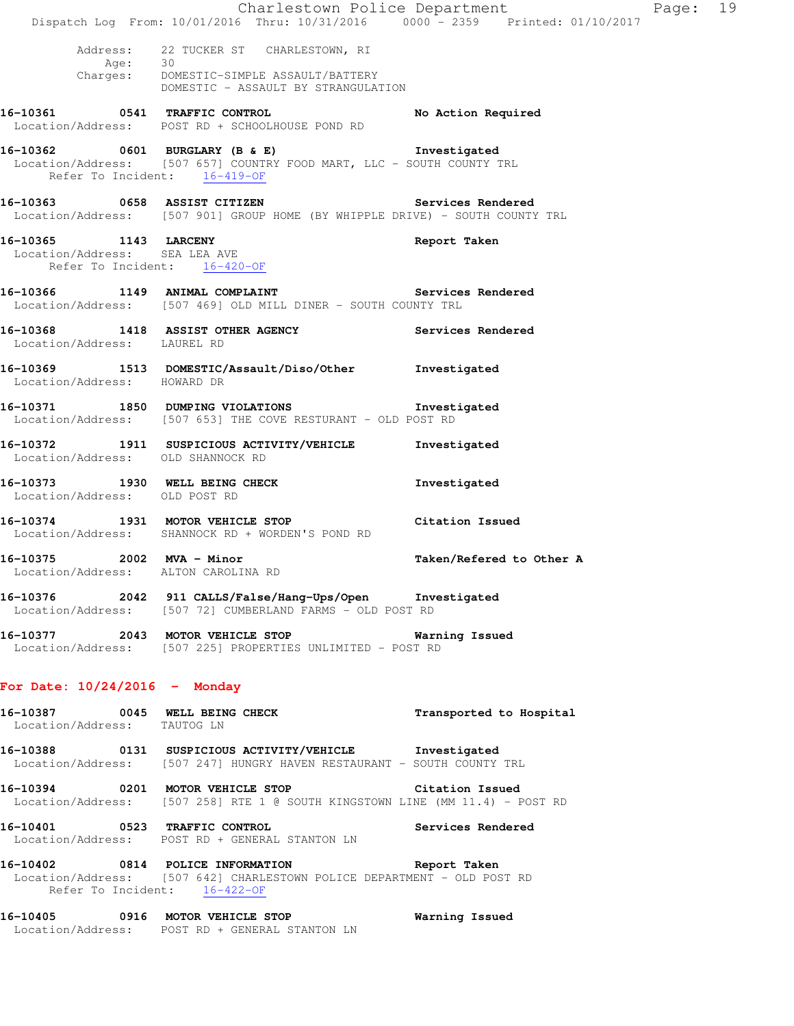|                                                        | Dispatch Log From: 10/01/2016 Thru: 10/31/2016 0000 <sup>-</sup> 2359 Printed: 01/10/2017                                                                | Charlestown Police Department | Page: 19 |  |
|--------------------------------------------------------|----------------------------------------------------------------------------------------------------------------------------------------------------------|-------------------------------|----------|--|
|                                                        | Address: 22 TUCKER ST CHARLESTOWN, RI                                                                                                                    |                               |          |  |
|                                                        | Age: 30<br>Charges: DOMESTIC-SIMPLE ASSAULT/BATTERY<br>DOMESTIC - ASSAULT BY STRANGULATION                                                               |                               |          |  |
|                                                        | 16-10361 0541 TRAFFIC CONTROL<br>Location/Address: POST RD + SCHOOLHOUSE POND RD                                                                         | No Action Required            |          |  |
| Refer To Incident: 16-419-OF                           | 16-10362 0601 BURGLARY (B & E) Investigated<br>Location/Address: [507 657] COUNTRY FOOD MART, LLC - SOUTH COUNTY TRL                                     |                               |          |  |
|                                                        | 16-10363 0658 ASSIST CITIZEN Services Rendered<br>Location/Address: [507 901] GROUP HOME (BY WHIPPLE DRIVE) - SOUTH COUNTY TRL                           |                               |          |  |
| 16-10365 1143 LARCENY<br>Location/Address: SEA LEA AVE | Refer To Incident: 16-420-OF                                                                                                                             | Report Taken                  |          |  |
|                                                        | 16-10366 1149 ANIMAL COMPLAINT Services Rendered<br>Location/Address: [507 469] OLD MILL DINER - SOUTH COUNTY TRL                                        |                               |          |  |
| Location/Address: LAUREL RD                            | 16-10368 1418 ASSIST OTHER AGENCY Services Rendered                                                                                                      |                               |          |  |
| Location/Address: HOWARD DR                            | 16-10369 1513 DOMESTIC/Assault/Diso/Other Investigated                                                                                                   |                               |          |  |
|                                                        | 16-10371 1850 DUMPING VIOLATIONS 1nvestigated<br>Location/Address: [507 653] THE COVE RESTURANT - OLD POST RD                                            |                               |          |  |
| Location/Address: OLD SHANNOCK RD                      | 16-10372 1911 SUSPICIOUS ACTIVITY/VEHICLE                                                                                                                | Investigated                  |          |  |
| Location/Address: OLD POST RD                          | 16-10373 1930 WELL BEING CHECK                                                                                                                           | Investigated                  |          |  |
|                                                        | 16-10374 1931 MOTOR VEHICLE STOP<br>Location/Address: SHANNOCK RD + WORDEN'S POND RD                                                                     | Citation Issued               |          |  |
|                                                        | 16-10375 2002 MVA - Minor<br>Location/Address: ALTON CAROLINA RD                                                                                         | Taken/Refered to Other A      |          |  |
|                                                        | 16-10376 2042 911 CALLS/False/Hang-Ups/Open Investigated<br>Location/Address: [507 72] CUMBERLAND FARMS - OLD POST RD                                    |                               |          |  |
|                                                        | 16-10377 2043 MOTOR VEHICLE STOP 6 Warning Issued<br>Location/Address: [507 225] PROPERTIES UNLIMITED - POST RD                                          |                               |          |  |
| For Date: $10/24/2016$ - Monday                        |                                                                                                                                                          |                               |          |  |
| Location/Address: TAUTOG LN                            | 16-10387 0045 WELL BEING CHECK                                                                                                                           | Transported to Hospital       |          |  |
|                                                        | 16-10388 0131 SUSPICIOUS ACTIVITY/VEHICLE Investigated<br>Location/Address: [507 247] HUNGRY HAVEN RESTAURANT - SOUTH COUNTY TRL                         |                               |          |  |
|                                                        | 16-10394 0201 MOTOR VEHICLE STOP Citation Issued<br>Location/Address: [507 258] RTE 1 @ SOUTH KINGSTOWN LINE (MM 11.4) - POST RD                         |                               |          |  |
| 16-10401 0523 TRAFFIC CONTROL                          | Location/Address: POST RD + GENERAL STANTON LN                                                                                                           | Services Rendered             |          |  |
|                                                        | 16-10402 0814 POLICE INFORMATION Report Taken<br>Location/Address: [507 642] CHARLESTOWN POLICE DEPARTMENT - OLD POST RD<br>Refer To Incident: 16-422-OF |                               |          |  |
|                                                        | 16-10405 0916 MOTOR VEHICLE STOP                                                                                                                         | <b>Warning Issued</b>         |          |  |

Location/Address: POST RD + GENERAL STANTON LN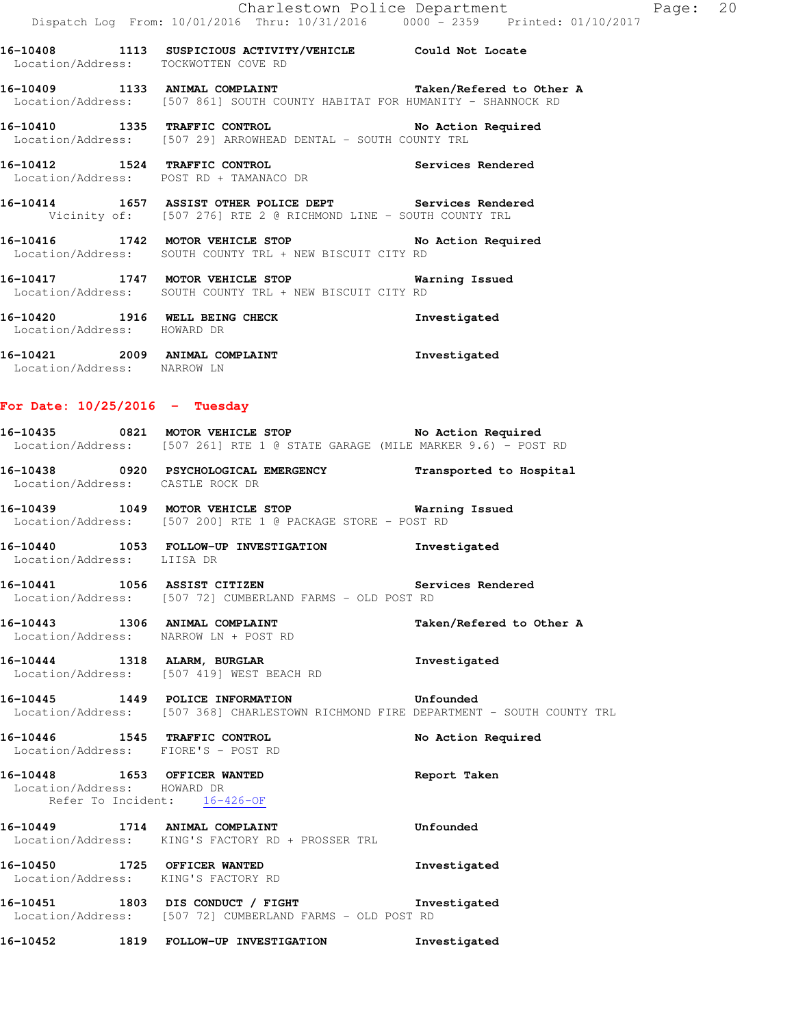**16-10408 1113 SUSPICIOUS ACTIVITY/VEHICLE Could Not Locate**  Location/Address: TOCKWOTTEN COVE RD

**16-10409 1133 ANIMAL COMPLAINT Taken/Refered to Other A**  Location/Address: [507 861] SOUTH COUNTY HABITAT FOR HUMANITY - SHANNOCK RD

**16-10410 1335 TRAFFIC CONTROL No Action Required**  Location/Address: [507 29] ARROWHEAD DENTAL - SOUTH COUNTY TRL

**16-10412 1524 TRAFFIC CONTROL Services Rendered**  Location/Address: POST RD + TAMANACO DR

**16-10414 1657 ASSIST OTHER POLICE DEPT Services Rendered**  Vicinity of: [507 276] RTE 2 @ RICHMOND LINE - SOUTH COUNTY TRL

**16-10416 1742 MOTOR VEHICLE STOP No Action Required**  Location/Address: SOUTH COUNTY TRL + NEW BISCUIT CITY RD

**16-10417 1747 MOTOR VEHICLE STOP Warning Issued**  Location/Address: SOUTH COUNTY TRL + NEW BISCUIT CITY RD

**16-10420 1916 WELL BEING CHECK Investigated**  Location/Address: HOWARD DR **16-10421 2009 ANIMAL COMPLAINT Investigated** 

Location/Address: NARROW LN

#### **For Date: 10/25/2016 - Tuesday**

**16-10435 0821 MOTOR VEHICLE STOP No Action Required**  Location/Address: [507 261] RTE 1 @ STATE GARAGE (MILE MARKER 9.6) - POST RD

**16-10438 0920 PSYCHOLOGICAL EMERGENCY Transported to Hospital**  Location/Address: CASTLE ROCK DR

**16-10439 1049 MOTOR VEHICLE STOP Warning Issued**  Location/Address: [507 200] RTE 1 @ PACKAGE STORE - POST RD

**16-10440 1053 FOLLOW-UP INVESTIGATION Investigated**  Location/Address: LIISA DR

**16-10441 1056 ASSIST CITIZEN Services Rendered**  Location/Address: [507 72] CUMBERLAND FARMS - OLD POST RD

16-10443 1306 ANIMAL COMPLAINT **16-10443** Taken/Refered to Other A Location/Address: NARROW LN + POST RD

**16-10444 1318 ALARM, BURGLAR Investigated**  Location/Address: [507 419] WEST BEACH RD

**16-10445 1449 POLICE INFORMATION Unfounded**  Location/Address: [507 368] CHARLESTOWN RICHMOND FIRE DEPARTMENT - SOUTH COUNTY TRL

**16-10446 1545 TRAFFIC CONTROL No Action Required**  Location/Address: FIORE'S - POST RD

**16-10448 1653 OFFICER WANTED Report Taken**  Location/Address: HOWARD DR Refer To Incident: 16-426-OF

**16-10449 1714 ANIMAL COMPLAINT Unfounded**  Location/Address: KING'S FACTORY RD + PROSSER TRL

**16-10450 1725 OFFICER WANTED Investigated**  Location/Address: KING'S FACTORY RD

**16-10451 1803 DIS CONDUCT / FIGHT Investigated**  Location/Address: [507 72] CUMBERLAND FARMS - OLD POST RD

**16-10452 1819 FOLLOW-UP INVESTIGATION Investigated**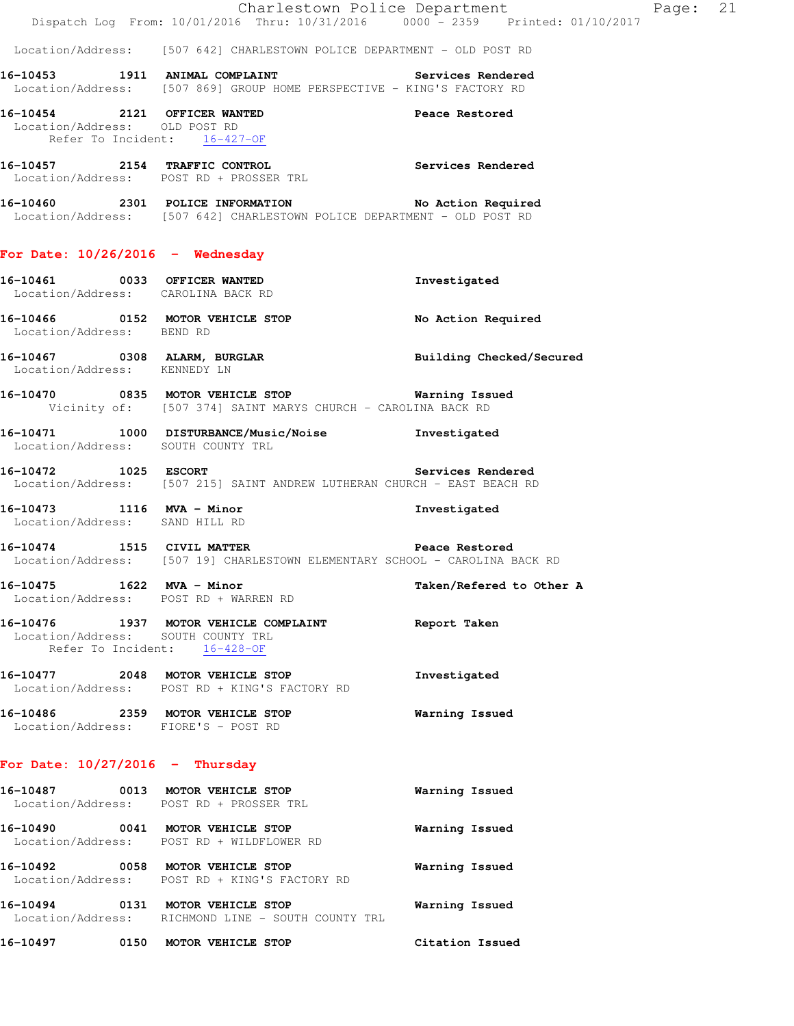Location/Address: [507 642] CHARLESTOWN POLICE DEPARTMENT - OLD POST RD

**16-10453 1911 ANIMAL COMPLAINT Services Rendered**  Location/Address: [507 869] GROUP HOME PERSPECTIVE - KING'S FACTORY RD

**16-10454 2121 OFFICER WANTED Peace Restored**  Location/Address: OLD POST RD Refer To Incident: 16-427-OF

**16-10457 2154 TRAFFIC CONTROL Services Rendered**  Location/Address: POST RD + PROSSER TRL

**16-10460 2301 POLICE INFORMATION No Action Required**  Location/Address: [507 642] CHARLESTOWN POLICE DEPARTMENT - OLD POST RD

#### **For Date: 10/26/2016 - Wednesday**

- **16-10461 0033 OFFICER WANTED Investigated**  Location/Address: CAROLINA BACK RD **16-10466 0152 MOTOR VEHICLE STOP No Action Required**  Location/Address: BEND RD **16-10467 0308 ALARM, BURGLAR Building Checked/Secured**  Location/Address: KENNEDY LN
- **16-10470 0835 MOTOR VEHICLE STOP Warning Issued**  Vicinity of: [507 374] SAINT MARYS CHURCH - CAROLINA BACK RD
- **16-10471 1000 DISTURBANCE/Music/Noise Investigated**  Location/Address: SOUTH COUNTY TRL
- **16-10472 1025 ESCORT Services Rendered**  Location/Address: [507 215] SAINT ANDREW LUTHERAN CHURCH - EAST BEACH RD
- **16-10473 1116 MVA Minor Investigated**  Location/Address: SAND HILL RD
- **16-10474 1515 CIVIL MATTER Peace Restored**  Location/Address: [507 19] CHARLESTOWN ELEMENTARY SCHOOL - CAROLINA BACK RD

**16-10475 1622 MVA - Minor Taken/Refered to Other A**  Location/Address: POST RD + WARREN RD

### **16-10476 1937 MOTOR VEHICLE COMPLAINT Report Taken**  Location/Address: SOUTH COUNTY TRL Refer To Incident: 16-428-OF

- **16-10477 2048 MOTOR VEHICLE STOP Investigated**  Location/Address: POST RD + KING'S FACTORY RD **16-10486 2359 MOTOR VEHICLE STOP Warning Issued**
- Location/Address: FIORE'S POST RD

# **For Date: 10/27/2016 - Thursday**

| 16-10487<br>0013<br>Location/Address: | MOTOR VEHICLE STOP<br>POST RD + PROSSER TRL                         | Warning Issued  |
|---------------------------------------|---------------------------------------------------------------------|-----------------|
| 16-10490<br>0041                      | MOTOR VEHICLE STOP<br>Location/Address: POST RD + WILDFLOWER RD     | Warning Issued  |
| 16-10492<br>0058                      | MOTOR VEHICLE STOP<br>Location/Address: POST RD + KING'S FACTORY RD | Warning Issued  |
| 16-10494<br>0131<br>Location/Address: | MOTOR VEHICLE STOP<br>RICHMOND LINE – SOUTH COUNTY TRL              | Warning Issued  |
| 16-10497<br>0150                      | MOTOR VEHICLE STOP                                                  | Citation Issued |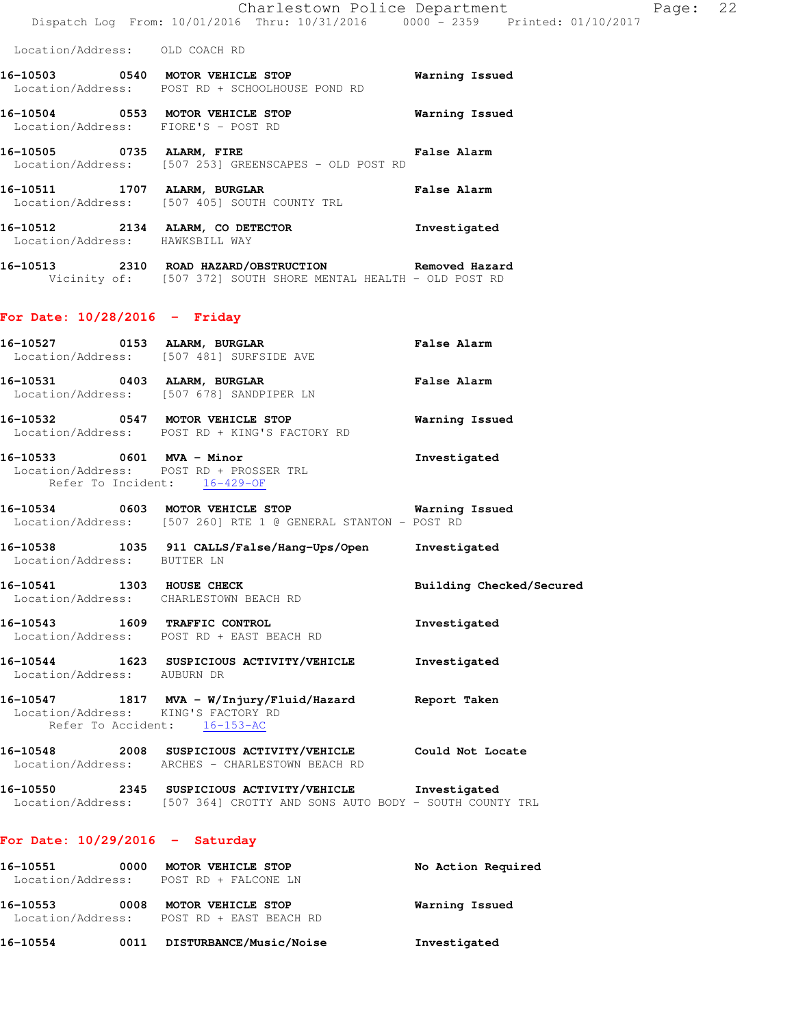| 16-10503<br>0540<br>Location/Address:                   | MOTOR VEHICLE STOP<br>POST RD + SCHOOLHOUSE POND RD                  | Warning Issued     |
|---------------------------------------------------------|----------------------------------------------------------------------|--------------------|
| 16-10504<br>0553<br>Location/Address: FIORE'S - POST RD | MOTOR VEHICLE STOP                                                   | Warning Issued     |
| 16-10505<br>0735                                        | ALARM, FIRE<br>Location/Address: [507 253] GREENSCAPES - OLD POST RD | <b>False Alarm</b> |

**16-10511 1707 ALARM, BURGLAR False Alarm**  Location/Address: [507 405] SOUTH COUNTY TRL

- **16-10512 2134 ALARM, CO DETECTOR Investigated**  Location/Address: HAWKSBILL WAY
- **16-10513 2310 ROAD HAZARD/OBSTRUCTION Removed Hazard**  Vicinity of: [507 372] SOUTH SHORE MENTAL HEALTH - OLD POST RD

#### **For Date: 10/28/2016 - Friday**

|                                                                     | 16-10527 0153 ALARM, BURGLAR<br>Location/Address: [507 481] SURFSIDE AVE                                           | <b>False Alarm</b>       |
|---------------------------------------------------------------------|--------------------------------------------------------------------------------------------------------------------|--------------------------|
|                                                                     | 16-10531 0403 ALARM, BURGLAR<br>Location/Address: [507 678] SANDPIPER LN                                           | <b>False Alarm</b>       |
|                                                                     | 16-10532 0547 MOTOR VEHICLE STOP<br>Location/Address: POST RD + KING'S FACTORY RD                                  | <b>Warning Issued</b>    |
| 16-10533 0601 MVA - Minor<br>Refer To Incident: 16-429-OF           | Location/Address: POST RD + PROSSER TRL                                                                            | Investigated             |
|                                                                     | 16-10534 0603 MOTOR VEHICLE STOP 5 Warning Issued<br>Location/Address: [507 260] RTE 1 @ GENERAL STANTON - POST RD |                          |
| Location/Address: BUTTER LN                                         | 16-10538 1035 911 CALLS/False/Hang-Ups/Open Investigated                                                           |                          |
| 16-10541 1303 HOUSE CHECK<br>Location/Address: CHARLESTOWN BEACH RD |                                                                                                                    | Building Checked/Secured |
|                                                                     | 16-10543 1609 TRAFFIC CONTROL<br>Location/Address: POST RD + EAST BEACH RD                                         | Investigated             |
| Location/Address: AUBURN DR                                         | 16-10544 1623 SUSPICIOUS ACTIVITY/VEHICLE Threstigated                                                             |                          |
| Location/Address: KING'S FACTORY RD<br>Refer To Accident: 16-153-AC | 16-10547 1817 MVA - W/Injury/Fluid/Hazard Report Taken                                                             |                          |
|                                                                     | 16-10548 2008 SUSPICIOUS ACTIVITY/VEHICLE Could Not Locate<br>Location/Address: ARCHES - CHARLESTOWN BEACH RD      |                          |
|                                                                     |                                                                                                                    |                          |

**16-10550 2345 SUSPICIOUS ACTIVITY/VEHICLE Investigated**  Location/Address: [507 364] CROTTY AND SONS AUTO BODY - SOUTH COUNTY TRL

### **For Date: 10/29/2016 - Saturday**

| 16–10551<br>Location/Address: | 0000 | MOTOR VEHICLE STOP<br>POST RD + FALCONE LN                      | No Action Required |
|-------------------------------|------|-----------------------------------------------------------------|--------------------|
| 16-10553                      | 0008 | MOTOR VEHICLE STOP<br>Location/Address: POST RD + EAST BEACH RD | Warning Issued     |
| 16-10554                      | 0011 | <b>DISTURBANCE/Music/Noise</b>                                  | Investigated       |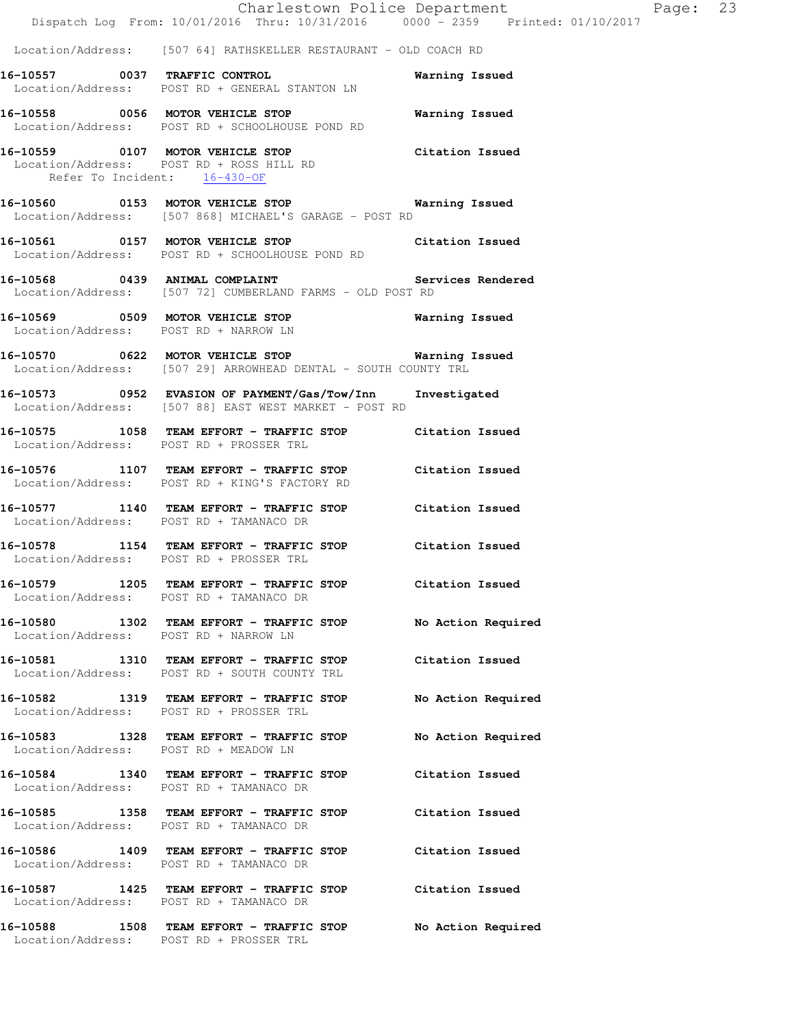|                                         | Dispatch Log From: 10/01/2016 Thru: 10/31/2016 0000 - 2359 Printed: 01/10/2017                                           | Charlestown Police Department | Page: 23 |  |
|-----------------------------------------|--------------------------------------------------------------------------------------------------------------------------|-------------------------------|----------|--|
|                                         | Location/Address: [507 64] RATHSKELLER RESTAURANT - OLD COACH RD                                                         |                               |          |  |
|                                         | 16-10557 0037 TRAFFIC CONTROL<br>Location/Address: POST RD + GENERAL STANTON LN                                          | Warning Issued                |          |  |
|                                         | 16-10558 0056 MOTOR VEHICLE STOP<br>Location/Address: POST RD + SCHOOLHOUSE POND RD                                      | Warning Issued                |          |  |
| Refer To Incident: 16-430-OF            | 16-10559 0107 MOTOR VEHICLE STOP<br>Location/Address: POST RD + ROSS HILL RD                                             | Citation Issued               |          |  |
|                                         | 16-10560 0153 MOTOR VEHICLE STOP 6 Warning Issued<br>Location/Address: [507 868] MICHAEL'S GARAGE - POST RD              |                               |          |  |
|                                         | 16-10561 0157 MOTOR VEHICLE STOP Citation Issued<br>Location/Address: POST RD + SCHOOLHOUSE POND RD                      |                               |          |  |
|                                         | 16-10568 0439 ANIMAL COMPLAINT<br>Location/Address: [507 72] CUMBERLAND FARMS - OLD POST RD                              | Services Rendered             |          |  |
| Location/Address: POST RD + NARROW LN   | 16-10569 0509 MOTOR VEHICLE STOP                                                                                         | <b>Warning Issued</b>         |          |  |
|                                         | 16-10570 0622 MOTOR VEHICLE STOP <b>Warning Issued</b><br>Location/Address: [507 29] ARROWHEAD DENTAL - SOUTH COUNTY TRL |                               |          |  |
|                                         | 16-10573 0952 EVASION OF PAYMENT/Gas/Tow/Inn<br>Location/Address: [507 88] EAST WEST MARKET - POST RD                    | Investigated                  |          |  |
| Location/Address: POST RD + PROSSER TRL | 16-10575 1058 TEAM EFFORT - TRAFFIC STOP Citation Issued                                                                 |                               |          |  |
|                                         | 16-10576 1107 TEAM EFFORT - TRAFFIC STOP Citation Issued<br>Location/Address: POST RD + KING'S FACTORY RD                |                               |          |  |
| Location/Address: POST RD + TAMANACO DR | 16-10577 1140 TEAM EFFORT - TRAFFIC STOP Citation Issued                                                                 |                               |          |  |
| Location/Address: POST RD + PROSSER TRL | 16-10578 1154 TEAM EFFORT - TRAFFIC STOP Citation Issued                                                                 |                               |          |  |
| Location/Address: POST RD + TAMANACO DR | 16-10579 1205 TEAM EFFORT - TRAFFIC STOP Citation Issued                                                                 |                               |          |  |
| Location/Address: POST RD + NARROW LN   | 16-10580 1302 TEAM EFFORT - TRAFFIC STOP                                                                                 | No Action Required            |          |  |
|                                         | 16-10581 1310 TEAM EFFORT - TRAFFIC STOP Citation Issued<br>Location/Address: POST RD + SOUTH COUNTY TRL                 |                               |          |  |
| Location/Address: POST RD + PROSSER TRL | 16-10582 1319 TEAM EFFORT - TRAFFIC STOP                                                                                 | No Action Required            |          |  |
| Location/Address: POST RD + MEADOW LN   | 16-10583 1328 TEAM EFFORT - TRAFFIC STOP                                                                                 | No Action Required            |          |  |
| Location/Address: POST RD + TAMANACO DR | 16-10584 1340 TEAM EFFORT - TRAFFIC STOP Citation Issued                                                                 |                               |          |  |
| Location/Address: POST RD + TAMANACO DR | 16-10585 1358 TEAM EFFORT - TRAFFIC STOP Citation Issued                                                                 |                               |          |  |
| Location/Address: POST RD + TAMANACO DR | 16-10586 1409 TEAM EFFORT - TRAFFIC STOP Citation Issued                                                                 |                               |          |  |
| Location/Address: POST RD + TAMANACO DR | 16-10587 1425 TEAM EFFORT - TRAFFIC STOP Citation Issued                                                                 |                               |          |  |
| Location/Address: POST RD + PROSSER TRL | 16-10588 1508 TEAM EFFORT - TRAFFIC STOP                                                                                 | No Action Required            |          |  |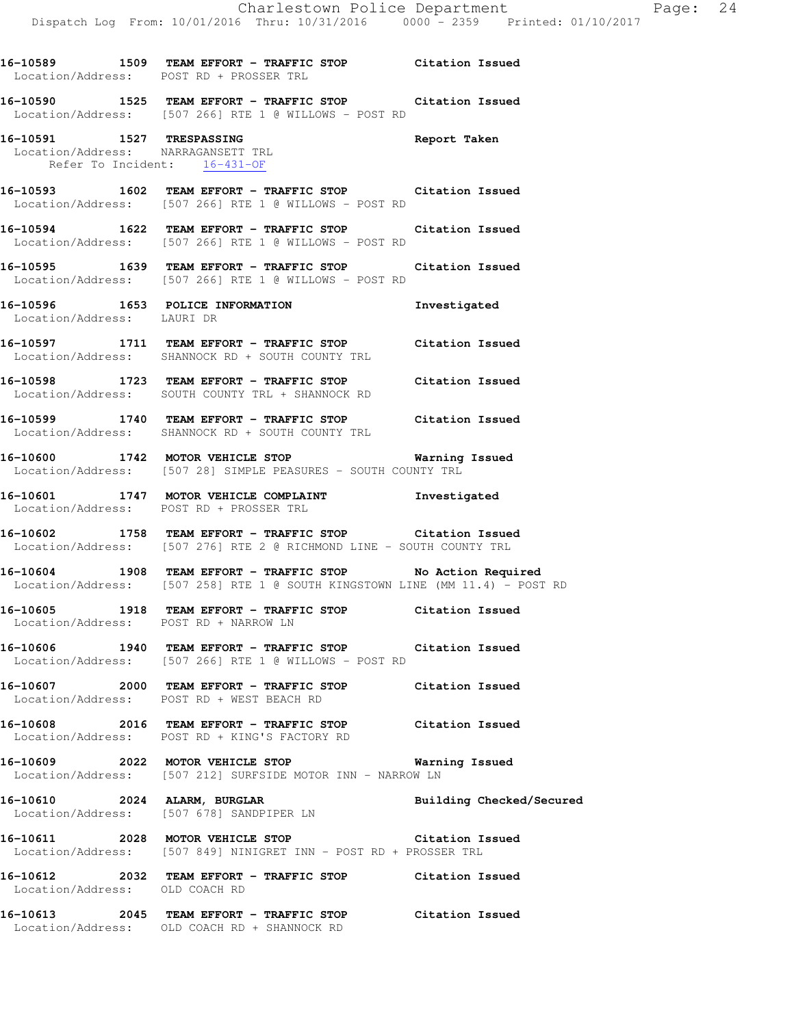Location/Address: POST RD + PROSSER TRL **16-10590 1525 TEAM EFFORT - TRAFFIC STOP Citation Issued**  Location/Address: [507 266] RTE 1 @ WILLOWS - POST RD **16-10591 1527 TRESPASSING Report Taken**  Location/Address: NARRAGANSETT TRL Refer To Incident: 16-431-OF **16-10593 1602 TEAM EFFORT - TRAFFIC STOP Citation Issued**  Location/Address: [507 266] RTE 1 @ WILLOWS - POST RD **16-10594 1622 TEAM EFFORT - TRAFFIC STOP Citation Issued**  Location/Address: [507 266] RTE 1 @ WILLOWS - POST RD **16-10595 1639 TEAM EFFORT - TRAFFIC STOP Citation Issued**  Location/Address: [507 266] RTE 1 @ WILLOWS - POST RD **16-10596 1653 POLICE INFORMATION Investigated**  Location/Address: LAURI DR **16-10597 1711 TEAM EFFORT - TRAFFIC STOP Citation Issued**  Location/Address: SHANNOCK RD + SOUTH COUNTY TRL **16-10598 1723 TEAM EFFORT - TRAFFIC STOP Citation Issued**  Location/Address: SOUTH COUNTY TRL + SHANNOCK RD **16-10599 1740 TEAM EFFORT - TRAFFIC STOP Citation Issued**  Location/Address: SHANNOCK RD + SOUTH COUNTY TRL **16-10600 1742 MOTOR VEHICLE STOP Warning Issued**  Location/Address: [507 28] SIMPLE PEASURES - SOUTH COUNTY TRL **16-10601 1747 MOTOR VEHICLE COMPLAINT Investigated**  Location/Address: POST RD + PROSSER TRL **16-10602 1758 TEAM EFFORT - TRAFFIC STOP Citation Issued**  Location/Address: [507 276] RTE 2 @ RICHMOND LINE - SOUTH COUNTY TRL

**16-10589 1509 TEAM EFFORT - TRAFFIC STOP Citation Issued** 

**16-10604 1908 TEAM EFFORT - TRAFFIC STOP No Action Required**  Location/Address: [507 258] RTE 1 @ SOUTH KINGSTOWN LINE (MM 11.4) - POST RD

**16-10605 1918 TEAM EFFORT - TRAFFIC STOP Citation Issued**  Location/Address: POST RD + NARROW LN

**16-10606 1940 TEAM EFFORT - TRAFFIC STOP Citation Issued**  Location/Address: [507 266] RTE 1 @ WILLOWS - POST RD

**16-10607 2000 TEAM EFFORT - TRAFFIC STOP Citation Issued**  Location/Address: POST RD + WEST BEACH RD

**16-10608 2016 TEAM EFFORT - TRAFFIC STOP Citation Issued**  Location/Address: POST RD + KING'S FACTORY RD

**16-10609 2022 MOTOR VEHICLE STOP Warning Issued**  Location/Address: [507 212] SURFSIDE MOTOR INN - NARROW LN

16-10610 2024 ALARM, BURGLAR **Building Checked/Secured** Location/Address: [507 678] SANDPIPER LN

**16-10611 2028 MOTOR VEHICLE STOP Citation Issued**  Location/Address: [507 849] NINIGRET INN - POST RD + PROSSER TRL

**16-10612 2032 TEAM EFFORT - TRAFFIC STOP Citation Issued**  Location/Address: OLD COACH RD

**16-10613 2045 TEAM EFFORT - TRAFFIC STOP Citation Issued**  Location/Address: OLD COACH RD + SHANNOCK RD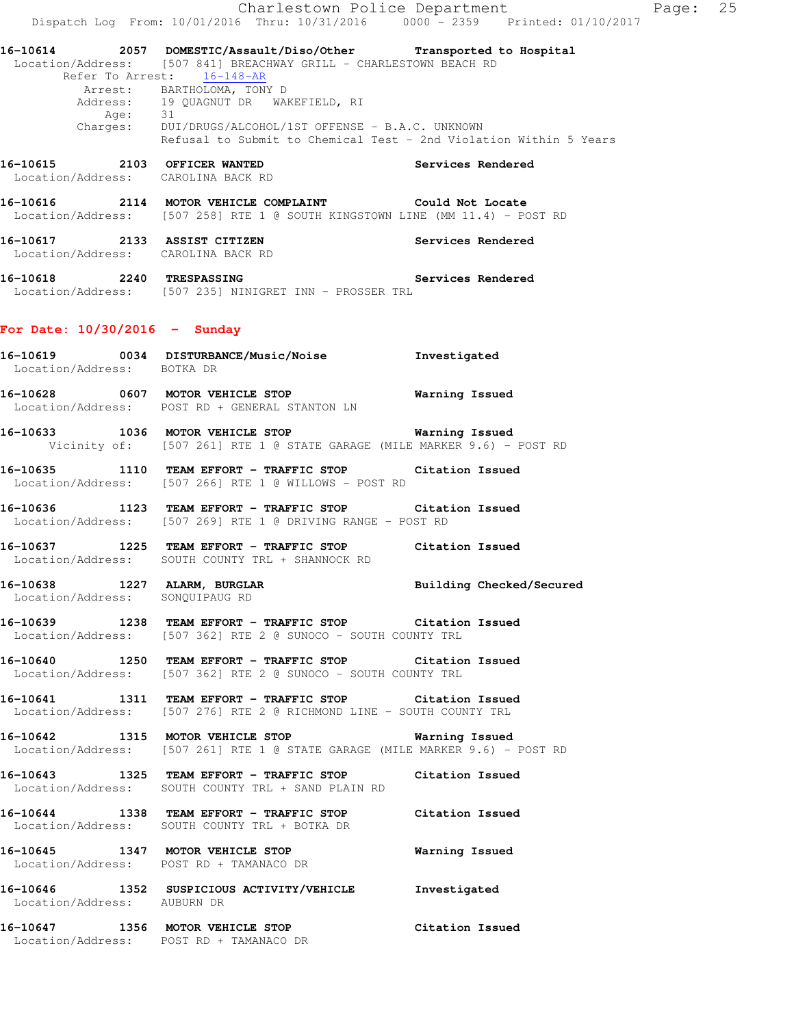Charlestown Police Department Fage: 25 Dispatch Log From: 10/01/2016 Thru: 10/31/2016 0000 - 2359 Printed: 01/10/2017 **16-10614 2057 DOMESTIC/Assault/Diso/Other Transported to Hospital**  Location/Address: [507 841] BREACHWAY GRILL - CHARLESTOWN BEACH RD Refer To Arrest: 16-148-AR Arrest: BARTHOLOMA, TONY D Address: 19 QUAGNUT DR WAKEFIELD, RI Age: 31 Charges: DUI/DRUGS/ALCOHOL/1ST OFFENSE - B.A.C. UNKNOWN Refusal to Submit to Chemical Test - 2nd Violation Within 5 Years **16-10615 2103 OFFICER WANTED Services Rendered**  Location/Address: CAROLINA BACK RD **16-10616 2114 MOTOR VEHICLE COMPLAINT Could Not Locate**  Location/Address: [507 258] RTE 1 @ SOUTH KINGSTOWN LINE (MM 11.4) - POST RD **16-10617 2133 ASSIST CITIZEN Services Rendered**  Location/Address: CAROLINA BACK RD **16-10618 2240 TRESPASSING Services Rendered**  Location/Address: [507 235] NINIGRET INN - PROSSER TRL **For Date: 10/30/2016 - Sunday 16-10619 0034 DISTURBANCE/Music/Noise Investigated**  Location/Address: BOTKA DR **16-10628 0607 MOTOR VEHICLE STOP Warning Issued**  Location/Address: POST RD + GENERAL STANTON LN **16-10633 1036 MOTOR VEHICLE STOP Warning Issued**  Vicinity of: [507 261] RTE 1 @ STATE GARAGE (MILE MARKER 9.6) - POST RD **16-10635 1110 TEAM EFFORT - TRAFFIC STOP Citation Issued**  Location/Address: [507 266] RTE 1 @ WILLOWS - POST RD **16-10636 1123 TEAM EFFORT - TRAFFIC STOP Citation Issued**  Location/Address: [507 269] RTE 1 @ DRIVING RANGE - POST RD **16-10637 1225 TEAM EFFORT - TRAFFIC STOP Citation Issued**  Location/Address: SOUTH COUNTY TRL + SHANNOCK RD **16-10638 1227 ALARM, BURGLAR Building Checked/Secured**  Location/Address: SONQUIPAUG RD **16-10639 1238 TEAM EFFORT - TRAFFIC STOP Citation Issued**  Location/Address: [507 362] RTE 2 @ SUNOCO - SOUTH COUNTY TRL **16-10640 1250 TEAM EFFORT - TRAFFIC STOP Citation Issued**  Location/Address: [507 362] RTE 2 @ SUNOCO - SOUTH COUNTY TRL **16-10641 1311 TEAM EFFORT - TRAFFIC STOP Citation Issued**  Location/Address: [507 276] RTE 2 @ RICHMOND LINE - SOUTH COUNTY TRL **16-10642 1315 MOTOR VEHICLE STOP Warning Issued**  Location/Address: [507 261] RTE 1 @ STATE GARAGE (MILE MARKER 9.6) - POST RD **16-10643 1325 TEAM EFFORT - TRAFFIC STOP Citation Issued**  Location/Address: SOUTH COUNTY TRL + SAND PLAIN RD **16-10644 1338 TEAM EFFORT - TRAFFIC STOP Citation Issued**  Location/Address: SOUTH COUNTY TRL + BOTKA DR **16-10645 1347 MOTOR VEHICLE STOP Warning Issued**  Location/Address: POST RD + TAMANACO DR **16-10646 1352 SUSPICIOUS ACTIVITY/VEHICLE Investigated**  Location/Address: AUBURN DR **16-10647 1356 MOTOR VEHICLE STOP Citation Issued**  Location/Address: POST RD + TAMANACO DR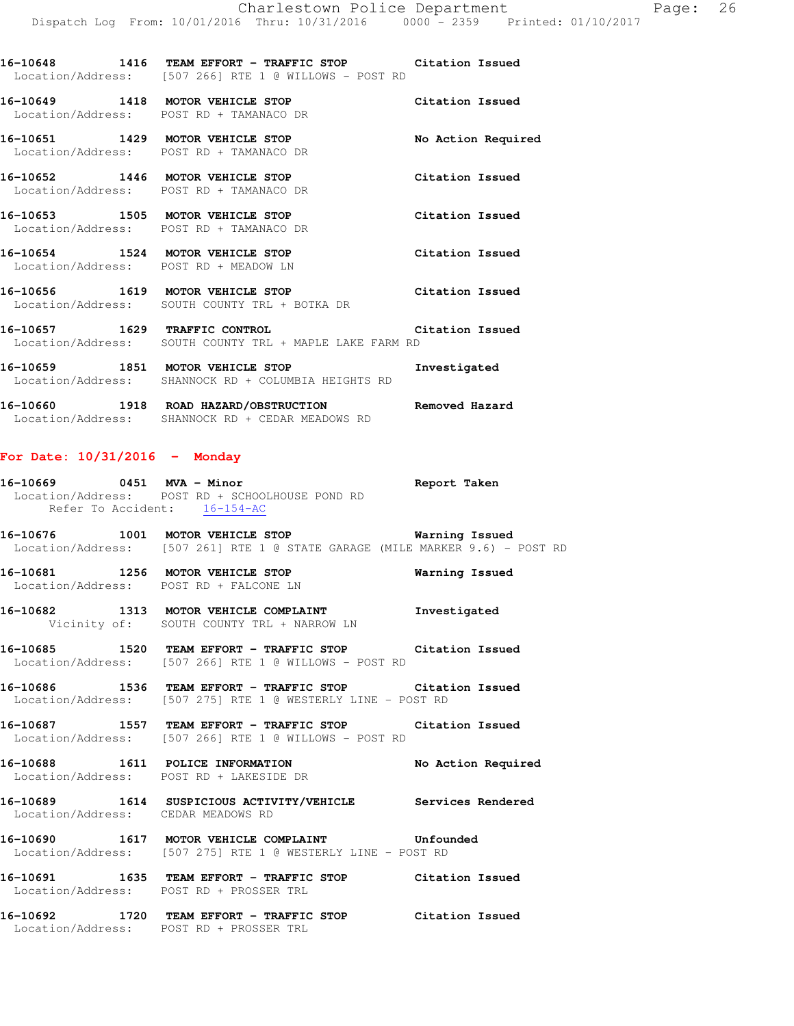**16-10648 1416 TEAM EFFORT - TRAFFIC STOP Citation Issued**  Location/Address: [507 266] RTE 1 @ WILLOWS - POST RD

**16-10649 1418 MOTOR VEHICLE STOP Citation Issued**  Location/Address: POST RD + TAMANACO DR **16-10651 1429 MOTOR VEHICLE STOP No Action Required** 

 Location/Address: POST RD + TAMANACO DR **16-10652 1446 MOTOR VEHICLE STOP Citation Issued**  Location/Address: POST RD + TAMANACO DR

**16-10653 1505 MOTOR VEHICLE STOP Citation Issued**  Location/Address: POST RD + TAMANACO DR

**16-10654 1524 MOTOR VEHICLE STOP Citation Issued**  Location/Address: POST RD + MEADOW LN

**16-10656 1619 MOTOR VEHICLE STOP Citation Issued**  Location/Address: SOUTH COUNTY TRL + BOTKA DR

**16-10657 1629 TRAFFIC CONTROL Citation Issued**  Location/Address: SOUTH COUNTY TRL + MAPLE LAKE FARM RD

**16-10659 1851 MOTOR VEHICLE STOP Investigated**  Location/Address: SHANNOCK RD + COLUMBIA HEIGHTS RD

**16-10660 1918 ROAD HAZARD/OBSTRUCTION Removed Hazard**  Location/Address: SHANNOCK RD + CEDAR MEADOWS RD

#### **For Date: 10/31/2016 - Monday**

**16-10669 0451 MVA - Minor Report Taken**  Location/Address: POST RD + SCHOOLHOUSE POND RD Refer To Accident: 16-154-AC

**16-10676 1001 MOTOR VEHICLE STOP Warning Issued**  Location/Address: [507 261] RTE 1 @ STATE GARAGE (MILE MARKER 9.6) - POST RD

**16-10681 1256 MOTOR VEHICLE STOP Warning Issued**  Location/Address: POST RD + FALCONE LN

**16-10682 1313 MOTOR VEHICLE COMPLAINT Investigated**  Vicinity of: SOUTH COUNTY TRL + NARROW LN

**16-10685 1520 TEAM EFFORT - TRAFFIC STOP Citation Issued**  Location/Address: [507 266] RTE 1 @ WILLOWS - POST RD

**16-10686 1536 TEAM EFFORT - TRAFFIC STOP Citation Issued**  Location/Address: [507 275] RTE 1 @ WESTERLY LINE - POST RD

**16-10687 1557 TEAM EFFORT - TRAFFIC STOP Citation Issued**  Location/Address: [507 266] RTE 1 @ WILLOWS - POST RD

**16-10688 1611 POLICE INFORMATION No Action Required**  Location/Address: POST RD + LAKESIDE DR

**16-10689 1614 SUSPICIOUS ACTIVITY/VEHICLE Services Rendered**  Location/Address: CEDAR MEADOWS RD

**16-10690 1617 MOTOR VEHICLE COMPLAINT Unfounded**  Location/Address: [507 275] RTE 1 @ WESTERLY LINE - POST RD

**16-10691 1635 TEAM EFFORT - TRAFFIC STOP Citation Issued**  Location/Address: POST RD + PROSSER TRL

**16-10692 1720 TEAM EFFORT - TRAFFIC STOP Citation Issued**  Location/Address: POST RD + PROSSER TRL